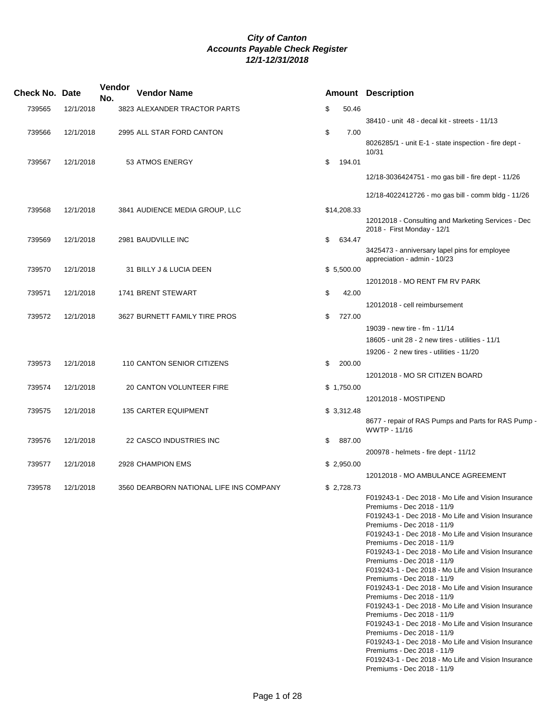| <b>Check No. Date</b> |           | Vendor<br>No. | <b>Vendor Name</b>                      |              | <b>Amount Description</b>                                                         |
|-----------------------|-----------|---------------|-----------------------------------------|--------------|-----------------------------------------------------------------------------------|
| 739565                | 12/1/2018 |               | 3823 ALEXANDER TRACTOR PARTS            | \$<br>50.46  |                                                                                   |
|                       |           |               |                                         |              | 38410 - unit 48 - decal kit - streets - 11/13                                     |
| 739566                | 12/1/2018 |               | 2995 ALL STAR FORD CANTON               | \$<br>7.00   | 8026285/1 - unit E-1 - state inspection - fire dept -<br>10/31                    |
| 739567                | 12/1/2018 |               | 53 ATMOS ENERGY                         | \$<br>194.01 |                                                                                   |
|                       |           |               |                                         |              | 12/18-3036424751 - mo gas bill - fire dept - 11/26                                |
|                       |           |               |                                         |              | 12/18-4022412726 - mo gas bill - comm bldg - 11/26                                |
| 739568                | 12/1/2018 |               | 3841 AUDIENCE MEDIA GROUP, LLC          | \$14,208.33  | 12012018 - Consulting and Marketing Services - Dec                                |
| 739569                | 12/1/2018 |               | 2981 BAUDVILLE INC                      | \$<br>634.47 | 2018 - First Monday - 12/1                                                        |
|                       |           |               |                                         |              | 3425473 - anniversary lapel pins for employee<br>appreciation - admin - 10/23     |
| 739570                | 12/1/2018 |               | 31 BILLY J & LUCIA DEEN                 | \$5,500.00   |                                                                                   |
| 739571                | 12/1/2018 |               | 1741 BRENT STEWART                      | \$<br>42.00  | 12012018 - MO RENT FM RV PARK                                                     |
|                       |           |               |                                         |              | 12012018 - cell reimbursement                                                     |
| 739572                | 12/1/2018 |               | 3627 BURNETT FAMILY TIRE PROS           | \$<br>727.00 |                                                                                   |
|                       |           |               |                                         |              | 19039 - new tire - fm - 11/14                                                     |
|                       |           |               |                                         |              | 18605 - unit 28 - 2 new tires - utilities - 11/1                                  |
|                       |           |               |                                         |              | 19206 - 2 new tires - utilities - 11/20                                           |
| 739573                | 12/1/2018 |               | 110 CANTON SENIOR CITIZENS              | \$<br>200.00 | 12012018 - MO SR CITIZEN BOARD                                                    |
| 739574                | 12/1/2018 |               | 20 CANTON VOLUNTEER FIRE                | \$1,750.00   |                                                                                   |
|                       |           |               |                                         |              | 12012018 - MOSTIPEND                                                              |
| 739575                | 12/1/2018 |               | <b>135 CARTER EQUIPMENT</b>             | \$3,312.48   |                                                                                   |
|                       |           |               |                                         |              | 8677 - repair of RAS Pumps and Parts for RAS Pump -<br>WWTP - 11/16               |
| 739576                | 12/1/2018 |               | 22 CASCO INDUSTRIES INC                 | \$<br>887.00 |                                                                                   |
|                       |           |               |                                         |              | 200978 - helmets - fire dept - 11/12                                              |
| 739577                | 12/1/2018 |               | 2928 CHAMPION EMS                       | \$2,950.00   |                                                                                   |
|                       |           |               |                                         |              | 12012018 - MO AMBULANCE AGREEMENT                                                 |
| 739578                | 12/1/2018 |               | 3560 DEARBORN NATIONAL LIFE INS COMPANY | \$2,728.73   | F019243-1 - Dec 2018 - Mo Life and Vision Insurance                               |
|                       |           |               |                                         |              | Premiums - Dec 2018 - 11/9                                                        |
|                       |           |               |                                         |              | F019243-1 - Dec 2018 - Mo Life and Vision Insurance<br>Premiums - Dec 2018 - 11/9 |
|                       |           |               |                                         |              | F019243-1 - Dec 2018 - Mo Life and Vision Insurance                               |
|                       |           |               |                                         |              | Premiums - Dec 2018 - 11/9<br>F019243-1 - Dec 2018 - Mo Life and Vision Insurance |
|                       |           |               |                                         |              | Premiums - Dec 2018 - 11/9                                                        |
|                       |           |               |                                         |              | F019243-1 - Dec 2018 - Mo Life and Vision Insurance                               |
|                       |           |               |                                         |              | Premiums - Dec 2018 - 11/9<br>F019243-1 - Dec 2018 - Mo Life and Vision Insurance |
|                       |           |               |                                         |              | Premiums - Dec 2018 - 11/9                                                        |
|                       |           |               |                                         |              | F019243-1 - Dec 2018 - Mo Life and Vision Insurance<br>Premiums - Dec 2018 - 11/9 |
|                       |           |               |                                         |              | F019243-1 - Dec 2018 - Mo Life and Vision Insurance                               |
|                       |           |               |                                         |              | Premiums - Dec 2018 - 11/9<br>F019243-1 - Dec 2018 - Mo Life and Vision Insurance |
|                       |           |               |                                         |              | Premiums - Dec 2018 - 11/9                                                        |
|                       |           |               |                                         |              | F019243-1 - Dec 2018 - Mo Life and Vision Insurance<br>Premiums - Dec 2018 - 11/9 |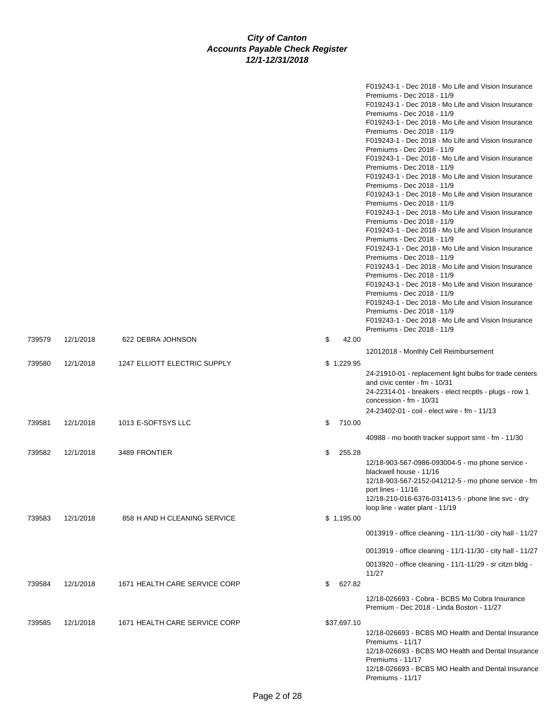|        |           |                               |              | F019243-1 - Dec 2018 - Mo Life and Vision Insurance<br>Premiums - Dec 2018 - 11/9<br>F019243-1 - Dec 2018 - Mo Life and Vision Insurance<br>Premiums - Dec 2018 - 11/9<br>F019243-1 - Dec 2018 - Mo Life and Vision Insurance<br>Premiums - Dec 2018 - 11/9<br>F019243-1 - Dec 2018 - Mo Life and Vision Insurance<br>Premiums - Dec 2018 - 11/9<br>F019243-1 - Dec 2018 - Mo Life and Vision Insurance<br>Premiums - Dec 2018 - 11/9<br>F019243-1 - Dec 2018 - Mo Life and Vision Insurance<br>Premiums - Dec 2018 - 11/9<br>F019243-1 - Dec 2018 - Mo Life and Vision Insurance<br>Premiums - Dec 2018 - 11/9<br>F019243-1 - Dec 2018 - Mo Life and Vision Insurance<br>Premiums - Dec 2018 - 11/9<br>F019243-1 - Dec 2018 - Mo Life and Vision Insurance<br>Premiums - Dec 2018 - 11/9<br>F019243-1 - Dec 2018 - Mo Life and Vision Insurance<br>Premiums - Dec 2018 - 11/9<br>F019243-1 - Dec 2018 - Mo Life and Vision Insurance<br>Premiums - Dec 2018 - 11/9<br>F019243-1 - Dec 2018 - Mo Life and Vision Insurance<br>Premiums - Dec 2018 - 11/9<br>F019243-1 - Dec 2018 - Mo Life and Vision Insurance |
|--------|-----------|-------------------------------|--------------|-----------------------------------------------------------------------------------------------------------------------------------------------------------------------------------------------------------------------------------------------------------------------------------------------------------------------------------------------------------------------------------------------------------------------------------------------------------------------------------------------------------------------------------------------------------------------------------------------------------------------------------------------------------------------------------------------------------------------------------------------------------------------------------------------------------------------------------------------------------------------------------------------------------------------------------------------------------------------------------------------------------------------------------------------------------------------------------------------------------------|
|        |           |                               |              | Premiums - Dec 2018 - 11/9<br>F019243-1 - Dec 2018 - Mo Life and Vision Insurance                                                                                                                                                                                                                                                                                                                                                                                                                                                                                                                                                                                                                                                                                                                                                                                                                                                                                                                                                                                                                               |
|        |           |                               |              | Premiums - Dec 2018 - 11/9                                                                                                                                                                                                                                                                                                                                                                                                                                                                                                                                                                                                                                                                                                                                                                                                                                                                                                                                                                                                                                                                                      |
| 739579 | 12/1/2018 | 622 DEBRA JOHNSON             | \$<br>42.00  |                                                                                                                                                                                                                                                                                                                                                                                                                                                                                                                                                                                                                                                                                                                                                                                                                                                                                                                                                                                                                                                                                                                 |
|        |           |                               |              | 12012018 - Monthly Cell Reimbursement                                                                                                                                                                                                                                                                                                                                                                                                                                                                                                                                                                                                                                                                                                                                                                                                                                                                                                                                                                                                                                                                           |
| 739580 | 12/1/2018 | 1247 ELLIOTT ELECTRIC SUPPLY  | \$1,229.95   | 24-21910-01 - replacement light bulbs for trade centers<br>and civic center - fm - 10/31<br>24-22314-01 - breakers - elect recptls - plugs - row 1<br>concession - $fm - 10/31$<br>24-23402-01 - coil - elect wire - fm - 11/13                                                                                                                                                                                                                                                                                                                                                                                                                                                                                                                                                                                                                                                                                                                                                                                                                                                                                 |
| 739581 | 12/1/2018 | 1013 E-SOFTSYS LLC            | \$<br>710.00 |                                                                                                                                                                                                                                                                                                                                                                                                                                                                                                                                                                                                                                                                                                                                                                                                                                                                                                                                                                                                                                                                                                                 |
|        |           |                               |              | 40988 - mo booth tracker support stmt - fm - 11/30                                                                                                                                                                                                                                                                                                                                                                                                                                                                                                                                                                                                                                                                                                                                                                                                                                                                                                                                                                                                                                                              |
| 739582 | 12/1/2018 | 3489 FRONTIER                 | \$<br>255.28 | 12/18-903-567-0986-093004-5 - mo phone service -<br>blackwell house - 11/16<br>12/18-903-567-2152-041212-5 - mo phone service - fm<br>port lines - 11/16<br>12/18-210-016-6376-031413-5 - phone line svc - dry<br>loop line - water plant - 11/19                                                                                                                                                                                                                                                                                                                                                                                                                                                                                                                                                                                                                                                                                                                                                                                                                                                               |
| 739583 | 12/1/2018 | 858 H AND H CLEANING SERVICE  | \$1,195.00   |                                                                                                                                                                                                                                                                                                                                                                                                                                                                                                                                                                                                                                                                                                                                                                                                                                                                                                                                                                                                                                                                                                                 |
|        |           |                               |              | 0013919 - office cleaning - 11/1-11/30 - city hall - 11/27                                                                                                                                                                                                                                                                                                                                                                                                                                                                                                                                                                                                                                                                                                                                                                                                                                                                                                                                                                                                                                                      |
|        |           |                               |              | 0013919 - office cleaning - 11/1-11/30 - city hall - 11/27                                                                                                                                                                                                                                                                                                                                                                                                                                                                                                                                                                                                                                                                                                                                                                                                                                                                                                                                                                                                                                                      |
|        |           |                               |              | 0013920 - office cleaning - 11/1-11/29 - sr citzn bldg -<br>11/27                                                                                                                                                                                                                                                                                                                                                                                                                                                                                                                                                                                                                                                                                                                                                                                                                                                                                                                                                                                                                                               |
| 739584 | 12/1/2018 | 1671 HEALTH CARE SERVICE CORP | \$<br>627.82 |                                                                                                                                                                                                                                                                                                                                                                                                                                                                                                                                                                                                                                                                                                                                                                                                                                                                                                                                                                                                                                                                                                                 |
|        |           |                               |              | 12/18-026693 - Cobra - BCBS Mo Cobra Insurance<br>Premium - Dec 2018 - Linda Boston - 11/27                                                                                                                                                                                                                                                                                                                                                                                                                                                                                                                                                                                                                                                                                                                                                                                                                                                                                                                                                                                                                     |
| 739585 | 12/1/2018 | 1671 HEALTH CARE SERVICE CORP | \$37,697.10  | 12/18-026693 - BCBS MO Health and Dental Insurance<br>Premiums - 11/17<br>12/18-026693 - BCBS MO Health and Dental Insurance<br>Premiums - 11/17<br>12/18-026693 - BCBS MO Health and Dental Insurance<br>Premiums - 11/17                                                                                                                                                                                                                                                                                                                                                                                                                                                                                                                                                                                                                                                                                                                                                                                                                                                                                      |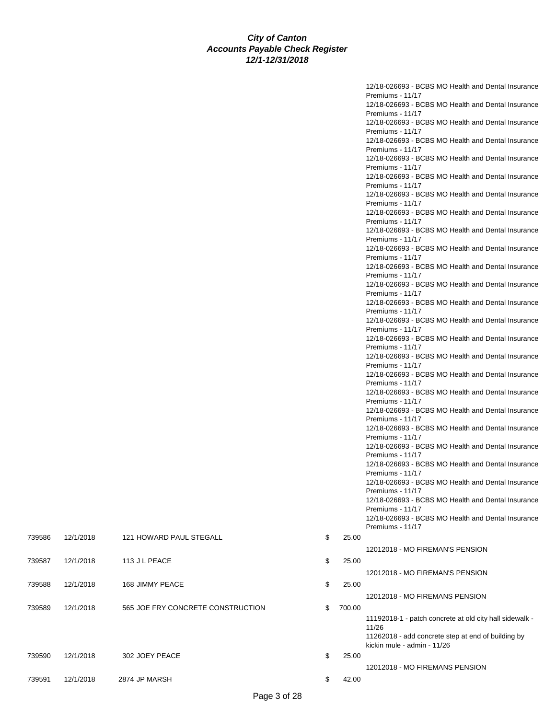|        |           |                                   |              | 12/18-026693 - BCBS MO Health and Dental Insurance                     |
|--------|-----------|-----------------------------------|--------------|------------------------------------------------------------------------|
|        |           |                                   |              | Premiums - 11/17                                                       |
|        |           |                                   |              | 12/18-026693 - BCBS MO Health and Dental Insurance<br>Premiums - 11/17 |
|        |           |                                   |              | 12/18-026693 - BCBS MO Health and Dental Insurance                     |
|        |           |                                   |              | Premiums - 11/17                                                       |
|        |           |                                   |              | 12/18-026693 - BCBS MO Health and Dental Insurance                     |
|        |           |                                   |              | Premiums - 11/17                                                       |
|        |           |                                   |              | 12/18-026693 - BCBS MO Health and Dental Insurance<br>Premiums - 11/17 |
|        |           |                                   |              | 12/18-026693 - BCBS MO Health and Dental Insurance                     |
|        |           |                                   |              | Premiums - 11/17                                                       |
|        |           |                                   |              | 12/18-026693 - BCBS MO Health and Dental Insurance                     |
|        |           |                                   |              | Premiums - 11/17                                                       |
|        |           |                                   |              | 12/18-026693 - BCBS MO Health and Dental Insurance                     |
|        |           |                                   |              | Premiums - 11/17<br>12/18-026693 - BCBS MO Health and Dental Insurance |
|        |           |                                   |              | Premiums - 11/17                                                       |
|        |           |                                   |              | 12/18-026693 - BCBS MO Health and Dental Insurance                     |
|        |           |                                   |              | Premiums - 11/17                                                       |
|        |           |                                   |              | 12/18-026693 - BCBS MO Health and Dental Insurance                     |
|        |           |                                   |              | Premiums - 11/17<br>12/18-026693 - BCBS MO Health and Dental Insurance |
|        |           |                                   |              | Premiums - 11/17                                                       |
|        |           |                                   |              | 12/18-026693 - BCBS MO Health and Dental Insurance                     |
|        |           |                                   |              | Premiums - 11/17                                                       |
|        |           |                                   |              | 12/18-026693 - BCBS MO Health and Dental Insurance                     |
|        |           |                                   |              | Premiums - 11/17<br>12/18-026693 - BCBS MO Health and Dental Insurance |
|        |           |                                   |              | Premiums - 11/17                                                       |
|        |           |                                   |              | 12/18-026693 - BCBS MO Health and Dental Insurance                     |
|        |           |                                   |              | Premiums - 11/17                                                       |
|        |           |                                   |              | 12/18-026693 - BCBS MO Health and Dental Insurance                     |
|        |           |                                   |              | Premiums - 11/17                                                       |
|        |           |                                   |              | 12/18-026693 - BCBS MO Health and Dental Insurance<br>Premiums - 11/17 |
|        |           |                                   |              | 12/18-026693 - BCBS MO Health and Dental Insurance                     |
|        |           |                                   |              | Premiums - 11/17                                                       |
|        |           |                                   |              | 12/18-026693 - BCBS MO Health and Dental Insurance                     |
|        |           |                                   |              | Premiums - 11/17                                                       |
|        |           |                                   |              | 12/18-026693 - BCBS MO Health and Dental Insurance<br>Premiums - 11/17 |
|        |           |                                   |              | 12/18-026693 - BCBS MO Health and Dental Insurance                     |
|        |           |                                   |              | Premiums - 11/17                                                       |
|        |           |                                   |              | 12/18-026693 - BCBS MO Health and Dental Insurance                     |
|        |           |                                   |              | Premiums - 11/17                                                       |
|        |           |                                   |              | 12/18-026693 - BCBS MO Health and Dental Insurance<br>Premiums - 11/17 |
|        |           |                                   |              | 12/18-026693 - BCBS MO Health and Dental Insurance                     |
|        |           |                                   |              | Premiums - 11/17                                                       |
| 739586 | 12/1/2018 | 121 HOWARD PAUL STEGALL           | \$<br>25.00  |                                                                        |
|        |           |                                   |              | 12012018 - MO FIREMAN'S PENSION                                        |
| 739587 | 12/1/2018 | 113 J L PEACE                     | \$<br>25.00  |                                                                        |
|        |           |                                   |              | 12012018 - MO FIREMAN'S PENSION                                        |
| 739588 | 12/1/2018 | 168 JIMMY PEACE                   | \$<br>25.00  |                                                                        |
|        |           |                                   |              | 12012018 - MO FIREMANS PENSION                                         |
| 739589 | 12/1/2018 | 565 JOE FRY CONCRETE CONSTRUCTION | \$<br>700.00 |                                                                        |
|        |           |                                   |              | 11192018-1 - patch concrete at old city hall sidewalk -                |
|        |           |                                   |              | 11/26                                                                  |
|        |           |                                   |              | 11262018 - add concrete step at end of building by                     |
|        |           |                                   |              | kickin mule - admin - 11/26                                            |
| 739590 | 12/1/2018 | 302 JOEY PEACE                    | \$<br>25.00  |                                                                        |
|        |           |                                   |              | 12012018 - MO FIREMANS PENSION                                         |
| 739591 | 12/1/2018 | 2874 JP MARSH                     | \$<br>42.00  |                                                                        |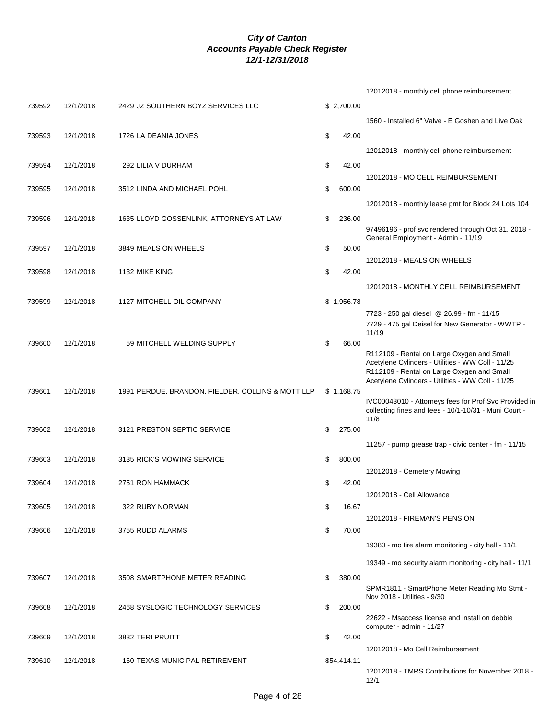|        |           |                                                   |              | 12012018 - monthly cell phone reimbursement                                                     |
|--------|-----------|---------------------------------------------------|--------------|-------------------------------------------------------------------------------------------------|
| 739592 | 12/1/2018 | 2429 JZ SOUTHERN BOYZ SERVICES LLC                | \$2,700.00   |                                                                                                 |
|        |           |                                                   |              | 1560 - Installed 6" Valve - E Goshen and Live Oak                                               |
| 739593 | 12/1/2018 | 1726 LA DEANIA JONES                              | \$<br>42.00  |                                                                                                 |
|        |           |                                                   |              |                                                                                                 |
|        |           |                                                   |              | 12012018 - monthly cell phone reimbursement                                                     |
| 739594 | 12/1/2018 | 292 LILIA V DURHAM                                | \$<br>42.00  |                                                                                                 |
| 739595 | 12/1/2018 | 3512 LINDA AND MICHAEL POHL                       | \$<br>600.00 | 12012018 - MO CELL REIMBURSEMENT                                                                |
|        |           |                                                   |              |                                                                                                 |
|        |           |                                                   |              | 12012018 - monthly lease pmt for Block 24 Lots 104                                              |
| 739596 | 12/1/2018 | 1635 LLOYD GOSSENLINK, ATTORNEYS AT LAW           | \$<br>236.00 | 97496196 - prof svc rendered through Oct 31, 2018 -                                             |
|        |           |                                                   |              | General Employment - Admin - 11/19                                                              |
| 739597 | 12/1/2018 | 3849 MEALS ON WHEELS                              | \$<br>50.00  |                                                                                                 |
|        |           |                                                   |              | 12012018 - MEALS ON WHEELS                                                                      |
| 739598 | 12/1/2018 | 1132 MIKE KING                                    | \$<br>42.00  |                                                                                                 |
|        |           |                                                   |              | 12012018 - MONTHLY CELL REIMBURSEMENT                                                           |
| 739599 | 12/1/2018 | 1127 MITCHELL OIL COMPANY                         | \$1,956.78   |                                                                                                 |
|        |           |                                                   |              | 7723 - 250 gal diesel @ 26.99 - fm - 11/15                                                      |
|        |           |                                                   |              | 7729 - 475 gal Deisel for New Generator - WWTP -<br>11/19                                       |
| 739600 | 12/1/2018 | 59 MITCHELL WELDING SUPPLY                        | \$<br>66.00  |                                                                                                 |
|        |           |                                                   |              | R112109 - Rental on Large Oxygen and Small                                                      |
|        |           |                                                   |              | Acetylene Cylinders - Utilities - WW Coll - 11/25<br>R112109 - Rental on Large Oxygen and Small |
|        |           |                                                   |              | Acetylene Cylinders - Utilities - WW Coll - 11/25                                               |
| 739601 | 12/1/2018 | 1991 PERDUE, BRANDON, FIELDER, COLLINS & MOTT LLP | \$1,168.75   | IVC00043010 - Attorneys fees for Prof Svc Provided in                                           |
|        |           |                                                   |              | collecting fines and fees - 10/1-10/31 - Muni Court -                                           |
|        |           |                                                   |              | 11/8                                                                                            |
| 739602 | 12/1/2018 | 3121 PRESTON SEPTIC SERVICE                       | \$<br>275.00 |                                                                                                 |
|        |           |                                                   |              | 11257 - pump grease trap - civic center - fm - 11/15                                            |
| 739603 | 12/1/2018 | 3135 RICK'S MOWING SERVICE                        | \$<br>800.00 |                                                                                                 |
|        |           |                                                   |              | 12012018 - Cemetery Mowing                                                                      |
| 739604 | 12/1/2018 | 2751 RON HAMMACK                                  | \$<br>42.00  | 12012018 - Cell Allowance                                                                       |
| 739605 | 12/1/2018 | 322 RUBY NORMAN                                   | \$<br>16.67  |                                                                                                 |
|        |           |                                                   |              | 12012018 - FIREMAN'S PENSION                                                                    |
| 739606 | 12/1/2018 | 3755 RUDD ALARMS                                  | \$<br>70.00  |                                                                                                 |
|        |           |                                                   |              | 19380 - mo fire alarm monitoring - city hall - 11/1                                             |
|        |           |                                                   |              |                                                                                                 |
|        |           |                                                   |              | 19349 - mo security alarm monitoring - city hall - 11/1                                         |
| 739607 | 12/1/2018 | 3508 SMARTPHONE METER READING                     | \$<br>380.00 |                                                                                                 |
|        |           |                                                   |              | SPMR1811 - SmartPhone Meter Reading Mo Stmt -<br>Nov 2018 - Utilities - 9/30                    |
| 739608 | 12/1/2018 | 2468 SYSLOGIC TECHNOLOGY SERVICES                 | \$<br>200.00 |                                                                                                 |
|        |           |                                                   |              | 22622 - Msaccess license and install on debbie<br>computer - admin - 11/27                      |
| 739609 | 12/1/2018 | 3832 TERI PRUITT                                  | \$<br>42.00  |                                                                                                 |
|        |           |                                                   |              | 12012018 - Mo Cell Reimbursement                                                                |
| 739610 | 12/1/2018 | <b>160 TEXAS MUNICIPAL RETIREMENT</b>             | \$54,414.11  |                                                                                                 |
|        |           |                                                   |              | 12012018 - TMRS Contributions for November 2018 -<br>12/1                                       |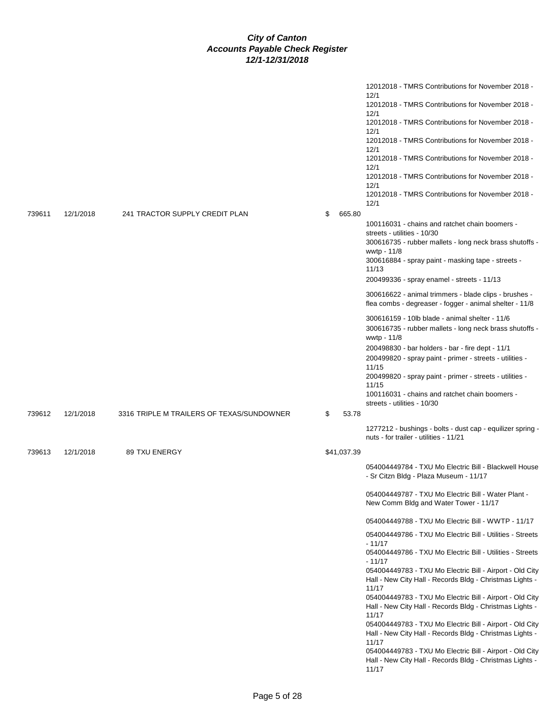|        |           |                                           |              | 12012018 - TMRS Contributions for November 2018 -<br>12/1<br>12012018 - TMRS Contributions for November 2018 -<br>12/1<br>12012018 - TMRS Contributions for November 2018 -<br>12/1<br>12012018 - TMRS Contributions for November 2018 -<br>12/1<br>12012018 - TMRS Contributions for November 2018 -<br>12/1<br>12012018 - TMRS Contributions for November 2018 -<br>12/1<br>12012018 - TMRS Contributions for November 2018 -<br>12/1                                                                                                                                                                                                                                                                                                                              |
|--------|-----------|-------------------------------------------|--------------|----------------------------------------------------------------------------------------------------------------------------------------------------------------------------------------------------------------------------------------------------------------------------------------------------------------------------------------------------------------------------------------------------------------------------------------------------------------------------------------------------------------------------------------------------------------------------------------------------------------------------------------------------------------------------------------------------------------------------------------------------------------------|
| 739611 | 12/1/2018 | 241 TRACTOR SUPPLY CREDIT PLAN            | \$<br>665.80 |                                                                                                                                                                                                                                                                                                                                                                                                                                                                                                                                                                                                                                                                                                                                                                      |
|        |           |                                           |              | 100116031 - chains and ratchet chain boomers -<br>streets - utilities - 10/30<br>300616735 - rubber mallets - long neck brass shutoffs -<br>wwtp - 11/8<br>300616884 - spray paint - masking tape - streets -<br>11/13<br>200499336 - spray enamel - streets - 11/13<br>300616622 - animal trimmers - blade clips - brushes -<br>flea combs - degreaser - fogger - animal shelter - 11/8<br>300616159 - 10lb blade - animal shelter - 11/6<br>300616735 - rubber mallets - long neck brass shutoffs -<br>wwtp - 11/8<br>200498830 - bar holders - bar - fire dept - 11/1<br>200499820 - spray paint - primer - streets - utilities -<br>11/15<br>200499820 - spray paint - primer - streets - utilities -<br>11/15<br>100116031 - chains and ratchet chain boomers - |
|        |           |                                           |              | streets - utilities - 10/30                                                                                                                                                                                                                                                                                                                                                                                                                                                                                                                                                                                                                                                                                                                                          |
| 739612 | 12/1/2018 | 3316 TRIPLE M TRAILERS OF TEXAS/SUNDOWNER | \$<br>53.78  | 1277212 - bushings - bolts - dust cap - equilizer spring -<br>nuts - for trailer - utilities - 11/21                                                                                                                                                                                                                                                                                                                                                                                                                                                                                                                                                                                                                                                                 |
| 739613 | 12/1/2018 | 89 TXU ENERGY                             | \$41,037.39  |                                                                                                                                                                                                                                                                                                                                                                                                                                                                                                                                                                                                                                                                                                                                                                      |
|        |           |                                           |              | 054004449784 - TXU Mo Electric Bill - Blackwell House<br>- Sr Citzn Bldg - Plaza Museum - 11/17<br>054004449787 - TXU Mo Electric Bill - Water Plant -                                                                                                                                                                                                                                                                                                                                                                                                                                                                                                                                                                                                               |
|        |           |                                           |              | New Comm Bldg and Water Tower - 11/17                                                                                                                                                                                                                                                                                                                                                                                                                                                                                                                                                                                                                                                                                                                                |
|        |           |                                           |              | 054004449788 - TXU Mo Electric Bill - WWTP - 11/17                                                                                                                                                                                                                                                                                                                                                                                                                                                                                                                                                                                                                                                                                                                   |
|        |           |                                           |              | 054004449786 - TXU Mo Electric Bill - Utilities - Streets<br>$-11/17$                                                                                                                                                                                                                                                                                                                                                                                                                                                                                                                                                                                                                                                                                                |
|        |           |                                           |              | 054004449786 - TXU Mo Electric Bill - Utilities - Streets                                                                                                                                                                                                                                                                                                                                                                                                                                                                                                                                                                                                                                                                                                            |
|        |           |                                           |              | $-11/17$<br>054004449783 - TXU Mo Electric Bill - Airport - Old City<br>Hall - New City Hall - Records Bldg - Christmas Lights -                                                                                                                                                                                                                                                                                                                                                                                                                                                                                                                                                                                                                                     |
|        |           |                                           |              | 11/17<br>054004449783 - TXU Mo Electric Bill - Airport - Old City<br>Hall - New City Hall - Records Bldg - Christmas Lights -<br>11/17                                                                                                                                                                                                                                                                                                                                                                                                                                                                                                                                                                                                                               |
|        |           |                                           |              | 054004449783 - TXU Mo Electric Bill - Airport - Old City<br>Hall - New City Hall - Records Bldg - Christmas Lights -<br>11/17                                                                                                                                                                                                                                                                                                                                                                                                                                                                                                                                                                                                                                        |
|        |           |                                           |              | 054004449783 - TXU Mo Electric Bill - Airport - Old City                                                                                                                                                                                                                                                                                                                                                                                                                                                                                                                                                                                                                                                                                                             |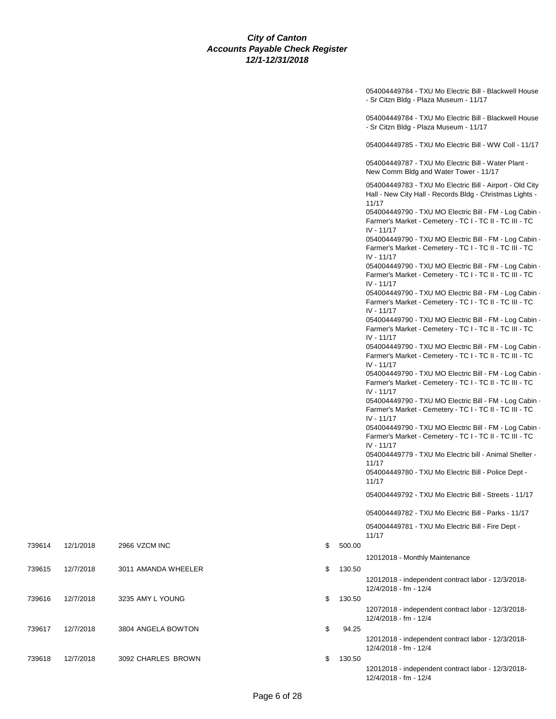|    |        | 054004449784 - TXU Mo Electric Bill - Blackwell House<br>- Sr Citzn Bldg - Plaza Museum - 11/17                                 |
|----|--------|---------------------------------------------------------------------------------------------------------------------------------|
|    |        | 054004449784 - TXU Mo Electric Bill - Blackwell House<br>- Sr Citzn Bldg - Plaza Museum - 11/17                                 |
|    |        | 054004449785 - TXU Mo Electric Bill - WW Coll - 11/17                                                                           |
|    |        | 054004449787 - TXU Mo Electric Bill - Water Plant -<br>New Comm Bldg and Water Tower - 11/17                                    |
|    |        | 054004449783 - TXU Mo Electric Bill - Airport - Old City<br>Hall - New City Hall - Records Bldg - Christmas Lights -<br>11/17   |
|    |        | 054004449790 - TXU MO Electric Bill - FM - Log Cabin -<br>Farmer's Market - Cemetery - TC I - TC II - TC III - TC<br>IV - 11/17 |
|    |        | 054004449790 - TXU MO Electric Bill - FM - Log Cabin -<br>Farmer's Market - Cemetery - TC I - TC II - TC III - TC<br>IV - 11/17 |
|    |        | 054004449790 - TXU MO Electric Bill - FM - Log Cabin -<br>Farmer's Market - Cemetery - TC I - TC II - TC III - TC<br>IV - 11/17 |
|    |        | 054004449790 - TXU MO Electric Bill - FM - Log Cabin -<br>Farmer's Market - Cemetery - TC I - TC II - TC III - TC               |
|    |        | IV - 11/17<br>054004449790 - TXU MO Electric Bill - FM - Log Cabin -<br>Farmer's Market - Cemetery - TC I - TC II - TC III - TC |
|    |        | IV - 11/17<br>054004449790 - TXU MO Electric Bill - FM - Log Cabin -<br>Farmer's Market - Cemetery - TC I - TC II - TC III - TC |
|    |        | IV - 11/17<br>054004449790 - TXU MO Electric Bill - FM - Log Cabin -                                                            |
|    |        | Farmer's Market - Cemetery - TC I - TC II - TC III - TC<br>IV - 11/17                                                           |
|    |        | 054004449790 - TXU MO Electric Bill - FM - Log Cabin -<br>Farmer's Market - Cemetery - TC I - TC II - TC III - TC<br>IV - 11/17 |
|    |        | 054004449790 - TXU MO Electric Bill - FM - Log Cabin -<br>Farmer's Market - Cemetery - TC I - TC II - TC III - TC<br>IV - 11/17 |
|    |        | 054004449779 - TXU Mo Electric bill - Animal Shelter -<br>11/17                                                                 |
|    |        | 054004449780 - TXU Mo Electric Bill - Police Dept -<br>11/17                                                                    |
|    |        | 054004449792 - TXU Mo Electric Bill - Streets - 11/17                                                                           |
|    |        | 054004449782 - TXU Mo Electric Bill - Parks - 11/17                                                                             |
|    |        | 054004449781 - TXU Mo Electric Bill - Fire Dept -<br>11/17                                                                      |
| \$ | 500.00 | 12012018 - Monthly Maintenance                                                                                                  |
| \$ | 130.50 |                                                                                                                                 |
|    |        | 12012018 - independent contract labor - 12/3/2018-<br>12/4/2018 - fm - 12/4                                                     |
| \$ | 130.50 | 12072018 - independent contract labor - 12/3/2018-<br>12/4/2018 - fm - 12/4                                                     |
| \$ | 94.25  |                                                                                                                                 |
|    |        | 12012018 - independent contract labor - 12/3/2018-<br>12/4/2018 - fm - 12/4                                                     |
| \$ | 130.50 | 12012018 - independent contract labor - 12/3/2018-                                                                              |
|    |        | 12/4/2018 - fm - 12/4                                                                                                           |

739614 12/1/2018 2966 VZCM INC

739615 12/7/2018 3011 AMANDA WHEELER

739616 12/7/2018 3235 AMY L YOUNG

739617 12/7/2018 3804 ANGELA BOWTON

739618 12/7/2018 3092 CHARLES BROWN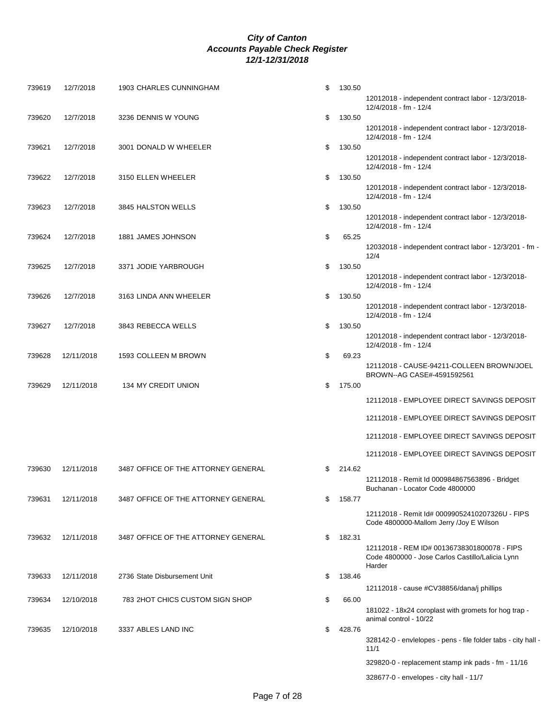| 739619 | 12/7/2018  | 1903 CHARLES CUNNINGHAM             | \$<br>130.50 |                                                                                |
|--------|------------|-------------------------------------|--------------|--------------------------------------------------------------------------------|
|        |            |                                     |              | 12012018 - independent contract labor - 12/3/2018-<br>12/4/2018 - fm - 12/4    |
| 739620 | 12/7/2018  | 3236 DENNIS W YOUNG                 | \$<br>130.50 |                                                                                |
|        |            |                                     |              | 12012018 - independent contract labor - 12/3/2018-<br>12/4/2018 - fm - 12/4    |
| 739621 | 12/7/2018  | 3001 DONALD W WHEELER               | \$<br>130.50 |                                                                                |
|        |            |                                     |              | 12012018 - independent contract labor - 12/3/2018-<br>12/4/2018 - fm - 12/4    |
| 739622 | 12/7/2018  | 3150 ELLEN WHEELER                  | \$<br>130.50 |                                                                                |
|        |            |                                     |              | 12012018 - independent contract labor - 12/3/2018-<br>12/4/2018 - fm - 12/4    |
| 739623 | 12/7/2018  | 3845 HALSTON WELLS                  | \$<br>130.50 |                                                                                |
|        |            |                                     |              | 12012018 - independent contract labor - 12/3/2018-<br>12/4/2018 - fm - 12/4    |
| 739624 | 12/7/2018  | 1881 JAMES JOHNSON                  | \$<br>65.25  |                                                                                |
|        |            |                                     |              | 12032018 - independent contract labor - 12/3/201 - fm -<br>12/4                |
| 739625 | 12/7/2018  | 3371 JODIE YARBROUGH                | \$<br>130.50 |                                                                                |
|        |            |                                     |              | 12012018 - independent contract labor - 12/3/2018-<br>12/4/2018 - fm - 12/4    |
| 739626 | 12/7/2018  | 3163 LINDA ANN WHEELER              | \$<br>130.50 |                                                                                |
|        |            |                                     |              | 12012018 - independent contract labor - 12/3/2018-<br>12/4/2018 - fm - 12/4    |
| 739627 | 12/7/2018  | 3843 REBECCA WELLS                  | \$<br>130.50 |                                                                                |
|        |            |                                     |              | 12012018 - independent contract labor - 12/3/2018-<br>12/4/2018 - fm - 12/4    |
| 739628 | 12/11/2018 | 1593 COLLEEN M BROWN                | \$<br>69.23  |                                                                                |
|        |            |                                     |              | 12112018 - CAUSE-94211-COLLEEN BROWN/JOEL                                      |
| 739629 | 12/11/2018 | 134 MY CREDIT UNION                 | \$<br>175.00 | BROWN--AG CASE#-4591592561                                                     |
|        |            |                                     |              |                                                                                |
|        |            |                                     |              | 12112018 - EMPLOYEE DIRECT SAVINGS DEPOSIT                                     |
|        |            |                                     |              | 12112018 - EMPLOYEE DIRECT SAVINGS DEPOSIT                                     |
|        |            |                                     |              | 12112018 - EMPLOYEE DIRECT SAVINGS DEPOSIT                                     |
|        |            |                                     |              | 12112018 - EMPLOYEE DIRECT SAVINGS DEPOSIT                                     |
| 739630 | 12/11/2018 | 3487 OFFICE OF THE ATTORNEY GENERAL | \$<br>214.62 |                                                                                |
|        |            |                                     |              | 12112018 - Remit Id 000984867563896 - Bridget                                  |
|        |            |                                     |              | Buchanan - Locator Code 4800000                                                |
| 739631 | 12/11/2018 | 3487 OFFICE OF THE ATTORNEY GENERAL | \$<br>158.77 |                                                                                |
|        |            |                                     |              | 12112018 - Remit Id# 00099052410207326U - FIPS                                 |
|        |            |                                     |              | Code 4800000-Mallom Jerry /Joy E Wilson                                        |
| 739632 | 12/11/2018 | 3487 OFFICE OF THE ATTORNEY GENERAL | \$<br>182.31 |                                                                                |
|        |            |                                     |              | 12112018 - REM ID# 00136738301800078 - FIPS                                    |
|        |            |                                     |              | Code 4800000 - Jose Carlos Castillo/Lalicia Lynn<br>Harder                     |
|        |            |                                     |              |                                                                                |
| 739633 | 12/11/2018 | 2736 State Disbursement Unit        | \$<br>138.46 |                                                                                |
|        |            |                                     |              | 12112018 - cause #CV38856/dana/j phillips                                      |
| 739634 | 12/10/2018 | 783 2HOT CHICS CUSTOM SIGN SHOP     | \$<br>66.00  |                                                                                |
|        |            |                                     |              | 181022 - 18x24 coroplast with gromets for hog trap -<br>animal control - 10/22 |
| 739635 | 12/10/2018 | 3337 ABLES LAND INC                 | \$<br>428.76 |                                                                                |
|        |            |                                     |              | 328142-0 - envielopes - pens - file folder tabs - city hall -<br>11/1          |
|        |            |                                     |              | 329820-0 - replacement stamp ink pads - fm - 11/16                             |
|        |            |                                     |              | 328677-0 - envelopes - city hall - 11/7                                        |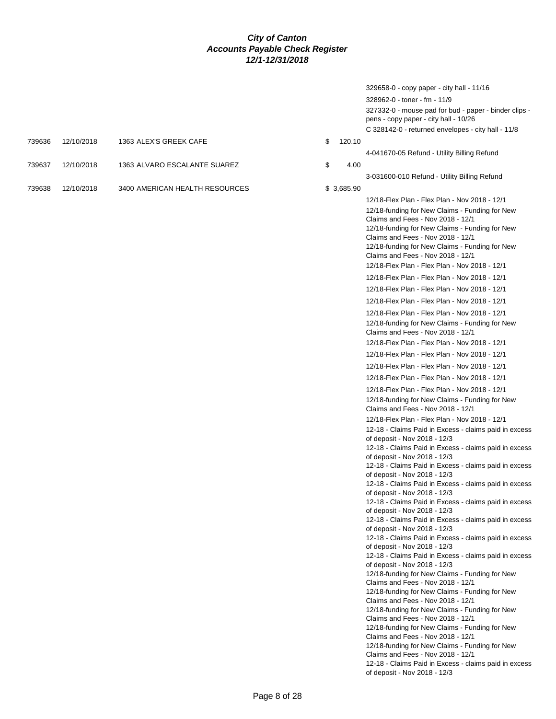|        |            |                                |    |            | 329658-0 - copy paper - city hall - 11/16                                                                                                                                                                                                                         |
|--------|------------|--------------------------------|----|------------|-------------------------------------------------------------------------------------------------------------------------------------------------------------------------------------------------------------------------------------------------------------------|
|        |            |                                |    |            | 328962-0 - toner - fm - 11/9                                                                                                                                                                                                                                      |
|        |            |                                |    |            | 327332-0 - mouse pad for bud - paper - binder clips -<br>pens - copy paper - city hall - 10/26                                                                                                                                                                    |
|        |            |                                |    |            | C 328142-0 - returned envelopes - city hall - 11/8                                                                                                                                                                                                                |
| 739636 | 12/10/2018 | 1363 ALEX'S GREEK CAFE         | \$ | 120.10     |                                                                                                                                                                                                                                                                   |
|        |            |                                |    |            | 4-041670-05 Refund - Utility Billing Refund                                                                                                                                                                                                                       |
| 739637 | 12/10/2018 | 1363 ALVARO ESCALANTE SUAREZ   | \$ | 4.00       |                                                                                                                                                                                                                                                                   |
|        |            |                                |    |            | 3-031600-010 Refund - Utility Billing Refund                                                                                                                                                                                                                      |
|        |            |                                |    |            |                                                                                                                                                                                                                                                                   |
| 739638 | 12/10/2018 | 3400 AMERICAN HEALTH RESOURCES |    | \$3,685.90 |                                                                                                                                                                                                                                                                   |
|        |            |                                |    |            | 12/18-Flex Plan - Flex Plan - Nov 2018 - 12/1                                                                                                                                                                                                                     |
|        |            |                                |    |            | 12/18-funding for New Claims - Funding for New<br>Claims and Fees - Nov 2018 - 12/1<br>12/18-funding for New Claims - Funding for New<br>Claims and Fees - Nov 2018 - 12/1<br>12/18-funding for New Claims - Funding for New<br>Claims and Fees - Nov 2018 - 12/1 |
|        |            |                                |    |            | 12/18-Flex Plan - Flex Plan - Nov 2018 - 12/1                                                                                                                                                                                                                     |
|        |            |                                |    |            | 12/18-Flex Plan - Flex Plan - Nov 2018 - 12/1                                                                                                                                                                                                                     |
|        |            |                                |    |            | 12/18-Flex Plan - Flex Plan - Nov 2018 - 12/1                                                                                                                                                                                                                     |
|        |            |                                |    |            | 12/18-Flex Plan - Flex Plan - Nov 2018 - 12/1                                                                                                                                                                                                                     |
|        |            |                                |    |            | 12/18-Flex Plan - Flex Plan - Nov 2018 - 12/1                                                                                                                                                                                                                     |
|        |            |                                |    |            | 12/18-funding for New Claims - Funding for New<br>Claims and Fees - Nov 2018 - 12/1                                                                                                                                                                               |
|        |            |                                |    |            | 12/18-Flex Plan - Flex Plan - Nov 2018 - 12/1                                                                                                                                                                                                                     |
|        |            |                                |    |            | 12/18-Flex Plan - Flex Plan - Nov 2018 - 12/1                                                                                                                                                                                                                     |
|        |            |                                |    |            | 12/18-Flex Plan - Flex Plan - Nov 2018 - 12/1                                                                                                                                                                                                                     |
|        |            |                                |    |            | 12/18-Flex Plan - Flex Plan - Nov 2018 - 12/1                                                                                                                                                                                                                     |
|        |            |                                |    |            | 12/18-Flex Plan - Flex Plan - Nov 2018 - 12/1                                                                                                                                                                                                                     |
|        |            |                                |    |            | 12/18-funding for New Claims - Funding for New<br>Claims and Fees - Nov 2018 - 12/1                                                                                                                                                                               |
|        |            |                                |    |            | 12/18-Flex Plan - Flex Plan - Nov 2018 - 12/1                                                                                                                                                                                                                     |
|        |            |                                |    |            | 12-18 - Claims Paid in Excess - claims paid in excess                                                                                                                                                                                                             |
|        |            |                                |    |            | of deposit - Nov 2018 - 12/3                                                                                                                                                                                                                                      |
|        |            |                                |    |            | 12-18 - Claims Paid in Excess - claims paid in excess<br>of deposit - Nov 2018 - 12/3                                                                                                                                                                             |
|        |            |                                |    |            | 12-18 - Claims Paid in Excess - claims paid in excess                                                                                                                                                                                                             |
|        |            |                                |    |            | of deposit - Nov 2018 - 12/3                                                                                                                                                                                                                                      |
|        |            |                                |    |            | 12-18 - Claims Paid in Excess - claims paid in excess                                                                                                                                                                                                             |
|        |            |                                |    |            | of deposit - Nov 2018 - 12/3<br>12-18 - Claims Paid in Excess - claims paid in excess                                                                                                                                                                             |
|        |            |                                |    |            | of deposit - Nov 2018 - 12/3                                                                                                                                                                                                                                      |
|        |            |                                |    |            | 12-18 - Claims Paid in Excess - claims paid in excess                                                                                                                                                                                                             |
|        |            |                                |    |            | of deposit - Nov 2018 - 12/3<br>12-18 - Claims Paid in Excess - claims paid in excess                                                                                                                                                                             |
|        |            |                                |    |            | of deposit - Nov 2018 - 12/3                                                                                                                                                                                                                                      |
|        |            |                                |    |            | 12-18 - Claims Paid in Excess - claims paid in excess                                                                                                                                                                                                             |
|        |            |                                |    |            | of deposit - Nov 2018 - 12/3                                                                                                                                                                                                                                      |
|        |            |                                |    |            | 12/18-funding for New Claims - Funding for New<br>Claims and Fees - Nov 2018 - 12/1                                                                                                                                                                               |
|        |            |                                |    |            | 12/18-funding for New Claims - Funding for New                                                                                                                                                                                                                    |
|        |            |                                |    |            | Claims and Fees - Nov 2018 - 12/1                                                                                                                                                                                                                                 |
|        |            |                                |    |            | 12/18-funding for New Claims - Funding for New                                                                                                                                                                                                                    |
|        |            |                                |    |            | Claims and Fees - Nov 2018 - 12/1<br>12/18-funding for New Claims - Funding for New                                                                                                                                                                               |
|        |            |                                |    |            | Claims and Fees - Nov 2018 - 12/1                                                                                                                                                                                                                                 |
|        |            |                                |    |            | 12/18-funding for New Claims - Funding for New                                                                                                                                                                                                                    |
|        |            |                                |    |            | Claims and Fees - Nov 2018 - 12/1                                                                                                                                                                                                                                 |
|        |            |                                |    |            | 12-18 - Claims Paid in Excess - claims paid in excess<br>of deposit - Nov 2018 - 12/3                                                                                                                                                                             |
|        |            |                                |    |            |                                                                                                                                                                                                                                                                   |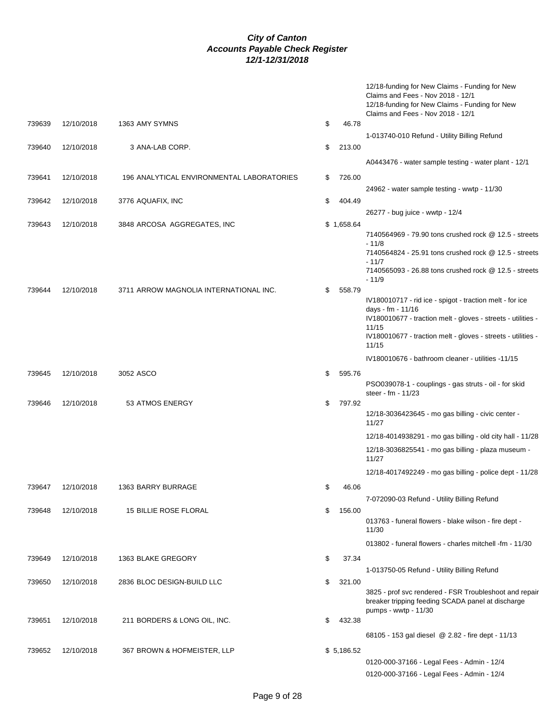|        |            |                                           |              | 12/18-funding for New Claims - Funding for New<br>Claims and Fees - Nov 2018 - 12/1<br>12/18-funding for New Claims - Funding for New<br>Claims and Fees - Nov 2018 - 12/1 |
|--------|------------|-------------------------------------------|--------------|----------------------------------------------------------------------------------------------------------------------------------------------------------------------------|
| 739639 | 12/10/2018 | 1363 AMY SYMNS                            | \$<br>46.78  |                                                                                                                                                                            |
|        |            |                                           |              | 1-013740-010 Refund - Utility Billing Refund                                                                                                                               |
| 739640 | 12/10/2018 | 3 ANA-LAB CORP.                           | \$<br>213.00 |                                                                                                                                                                            |
|        |            |                                           |              | A0443476 - water sample testing - water plant - 12/1                                                                                                                       |
|        |            |                                           |              |                                                                                                                                                                            |
| 739641 | 12/10/2018 | 196 ANALYTICAL ENVIRONMENTAL LABORATORIES | \$<br>726.00 |                                                                                                                                                                            |
|        |            |                                           |              | 24962 - water sample testing - wwtp - 11/30                                                                                                                                |
| 739642 | 12/10/2018 | 3776 AQUAFIX, INC                         | \$<br>404.49 |                                                                                                                                                                            |
|        |            |                                           |              | 26277 - bug juice - wwtp - 12/4                                                                                                                                            |
| 739643 | 12/10/2018 | 3848 ARCOSA AGGREGATES, INC               | \$1,658.64   |                                                                                                                                                                            |
|        |            |                                           |              | 7140564969 - 79.90 tons crushed rock @ 12.5 - streets                                                                                                                      |
|        |            |                                           |              | $-11/8$<br>7140564824 - 25.91 tons crushed rock @ 12.5 - streets                                                                                                           |
|        |            |                                           |              | $-11/7$                                                                                                                                                                    |
|        |            |                                           |              | 7140565093 - 26.88 tons crushed rock @ 12.5 - streets                                                                                                                      |
|        |            |                                           |              | $-11/9$                                                                                                                                                                    |
| 739644 | 12/10/2018 | 3711 ARROW MAGNOLIA INTERNATIONAL INC.    | \$<br>558.79 |                                                                                                                                                                            |
|        |            |                                           |              | IV180010717 - rid ice - spigot - traction melt - for ice<br>days - fm - 11/16                                                                                              |
|        |            |                                           |              | IV180010677 - traction melt - gloves - streets - utilities -                                                                                                               |
|        |            |                                           |              | 11/15                                                                                                                                                                      |
|        |            |                                           |              | IV180010677 - traction melt - gloves - streets - utilities -                                                                                                               |
|        |            |                                           |              | 11/15                                                                                                                                                                      |
|        |            |                                           |              | IV180010676 - bathroom cleaner - utilities -11/15                                                                                                                          |
| 739645 | 12/10/2018 | 3052 ASCO                                 | \$<br>595.76 |                                                                                                                                                                            |
|        |            |                                           |              | PSO039078-1 - couplings - gas struts - oil - for skid                                                                                                                      |
|        |            |                                           |              | steer - fm - 11/23                                                                                                                                                         |
| 739646 | 12/10/2018 | 53 ATMOS ENERGY                           | \$<br>797.92 | 12/18-3036423645 - mo gas billing - civic center -                                                                                                                         |
|        |            |                                           |              | 11/27                                                                                                                                                                      |
|        |            |                                           |              | 12/18-4014938291 - mo gas billing - old city hall - 11/28                                                                                                                  |
|        |            |                                           |              |                                                                                                                                                                            |
|        |            |                                           |              | 12/18-3036825541 - mo gas billing - plaza museum -<br>11/27                                                                                                                |
|        |            |                                           |              | 12/18-4017492249 - mo gas billing - police dept - 11/28                                                                                                                    |
|        |            |                                           |              |                                                                                                                                                                            |
| 739647 | 12/10/2018 | 1363 BARRY BURRAGE                        | \$<br>46.06  |                                                                                                                                                                            |
|        |            |                                           |              | 7-072090-03 Refund - Utility Billing Refund                                                                                                                                |
| 739648 | 12/10/2018 | 15 BILLIE ROSE FLORAL                     | \$<br>156.00 |                                                                                                                                                                            |
|        |            |                                           |              | 013763 - funeral flowers - blake wilson - fire dept -<br>11/30                                                                                                             |
|        |            |                                           |              |                                                                                                                                                                            |
|        |            |                                           |              | 013802 - funeral flowers - charles mitchell -fm - 11/30                                                                                                                    |
| 739649 | 12/10/2018 | 1363 BLAKE GREGORY                        | \$<br>37.34  |                                                                                                                                                                            |
|        |            |                                           |              | 1-013750-05 Refund - Utility Billing Refund                                                                                                                                |
| 739650 | 12/10/2018 | 2836 BLOC DESIGN-BUILD LLC                | \$<br>321.00 |                                                                                                                                                                            |
|        |            |                                           |              | 3825 - prof svc rendered - FSR Troubleshoot and repair                                                                                                                     |
|        |            |                                           |              | breaker tripping feeding SCADA panel at discharge                                                                                                                          |
| 739651 | 12/10/2018 | 211 BORDERS & LONG OIL, INC.              | \$<br>432.38 | pumps - wwtp - 11/30                                                                                                                                                       |
|        |            |                                           |              |                                                                                                                                                                            |
|        |            |                                           |              | 68105 - 153 gal diesel @ 2.82 - fire dept - 11/13                                                                                                                          |
| 739652 | 12/10/2018 | 367 BROWN & HOFMEISTER, LLP               | \$5,186.52   |                                                                                                                                                                            |
|        |            |                                           |              | 0120-000-37166 - Legal Fees - Admin - 12/4                                                                                                                                 |
|        |            |                                           |              | 0120-000-37166 - Legal Fees - Admin - 12/4                                                                                                                                 |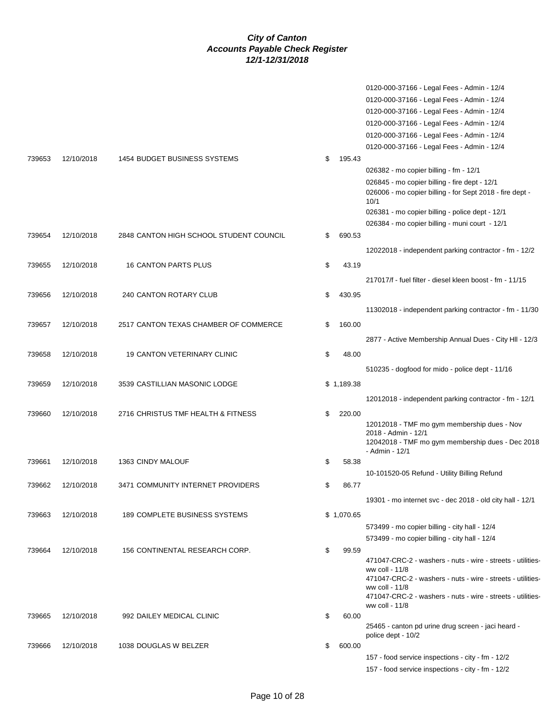|        |            |                                         |              | 0120-000-37166 - Legal Fees - Admin - 12/4<br>0120-000-37166 - Legal Fees - Admin - 12/4<br>0120-000-37166 - Legal Fees - Admin - 12/4<br>0120-000-37166 - Legal Fees - Admin - 12/4<br>0120-000-37166 - Legal Fees - Admin - 12/4<br>0120-000-37166 - Legal Fees - Admin - 12/4 |
|--------|------------|-----------------------------------------|--------------|----------------------------------------------------------------------------------------------------------------------------------------------------------------------------------------------------------------------------------------------------------------------------------|
| 739653 | 12/10/2018 | 1454 BUDGET BUSINESS SYSTEMS            | \$<br>195.43 |                                                                                                                                                                                                                                                                                  |
|        |            |                                         |              | 026382 - mo copier billing - fm - 12/1                                                                                                                                                                                                                                           |
|        |            |                                         |              | 026845 - mo copier billing - fire dept - 12/1<br>026006 - mo copier billing - for Sept 2018 - fire dept -<br>10/1                                                                                                                                                                |
|        |            |                                         |              | 026381 - mo copier billing - police dept - 12/1                                                                                                                                                                                                                                  |
|        |            |                                         |              | 026384 - mo copier billing - muni court - 12/1                                                                                                                                                                                                                                   |
| 739654 | 12/10/2018 | 2848 CANTON HIGH SCHOOL STUDENT COUNCIL | \$<br>690.53 |                                                                                                                                                                                                                                                                                  |
|        |            |                                         |              | 12022018 - independent parking contractor - fm - 12/2                                                                                                                                                                                                                            |
| 739655 | 12/10/2018 | 16 CANTON PARTS PLUS                    | \$<br>43.19  |                                                                                                                                                                                                                                                                                  |
|        |            |                                         |              | 217017/f - fuel filter - diesel kleen boost - fm - 11/15                                                                                                                                                                                                                         |
| 739656 | 12/10/2018 | 240 CANTON ROTARY CLUB                  | \$<br>430.95 |                                                                                                                                                                                                                                                                                  |
|        |            |                                         |              | 11302018 - independent parking contractor - fm - 11/30                                                                                                                                                                                                                           |
| 739657 | 12/10/2018 | 2517 CANTON TEXAS CHAMBER OF COMMERCE   | \$<br>160.00 |                                                                                                                                                                                                                                                                                  |
|        |            |                                         |              | 2877 - Active Membership Annual Dues - City HII - 12/3                                                                                                                                                                                                                           |
| 739658 | 12/10/2018 | <b>19 CANTON VETERINARY CLINIC</b>      | \$<br>48.00  |                                                                                                                                                                                                                                                                                  |
|        |            |                                         |              | 510235 - dogfood for mido - police dept - 11/16                                                                                                                                                                                                                                  |
|        | 12/10/2018 |                                         |              |                                                                                                                                                                                                                                                                                  |
| 739659 |            | 3539 CASTILLIAN MASONIC LODGE           | \$1,189.38   |                                                                                                                                                                                                                                                                                  |
|        |            |                                         |              | 12012018 - independent parking contractor - fm - 12/1                                                                                                                                                                                                                            |
| 739660 | 12/10/2018 | 2716 CHRISTUS TMF HEALTH & FITNESS      | \$<br>220.00 | 12012018 - TMF mo gym membership dues - Nov                                                                                                                                                                                                                                      |
|        |            |                                         |              | 2018 - Admin - 12/1                                                                                                                                                                                                                                                              |
|        |            |                                         |              | 12042018 - TMF mo gym membership dues - Dec 2018<br>- Admin - 12/1                                                                                                                                                                                                               |
| 739661 | 12/10/2018 | 1363 CINDY MALOUF                       | \$<br>58.38  |                                                                                                                                                                                                                                                                                  |
|        |            |                                         |              | 10-101520-05 Refund - Utility Billing Refund                                                                                                                                                                                                                                     |
| 739662 | 12/10/2018 | 3471 COMMUNITY INTERNET PROVIDERS       | \$<br>86.77  |                                                                                                                                                                                                                                                                                  |
|        |            |                                         |              | 19301 - mo internet svc - dec 2018 - old city hall - 12/1                                                                                                                                                                                                                        |
| 739663 | 12/10/2018 | 189 COMPLETE BUSINESS SYSTEMS           | \$1,070.65   |                                                                                                                                                                                                                                                                                  |
|        |            |                                         |              | 573499 - mo copier billing - city hall - 12/4                                                                                                                                                                                                                                    |
|        |            |                                         |              | 573499 - mo copier billing - city hall - 12/4                                                                                                                                                                                                                                    |
| 739664 | 12/10/2018 | 156 CONTINENTAL RESEARCH CORP.          | \$<br>99.59  | 471047-CRC-2 - washers - nuts - wire - streets - utilities-                                                                                                                                                                                                                      |
|        |            |                                         |              | ww coll - 11/8                                                                                                                                                                                                                                                                   |
|        |            |                                         |              | 471047-CRC-2 - washers - nuts - wire - streets - utilities-<br>ww coll - 11/8                                                                                                                                                                                                    |
|        |            |                                         |              | 471047-CRC-2 - washers - nuts - wire - streets - utilities-<br>ww coll - 11/8                                                                                                                                                                                                    |
| 739665 | 12/10/2018 | 992 DAILEY MEDICAL CLINIC               | \$<br>60.00  |                                                                                                                                                                                                                                                                                  |
|        |            |                                         |              | 25465 - canton pd urine drug screen - jaci heard -<br>police dept - 10/2                                                                                                                                                                                                         |
| 739666 | 12/10/2018 | 1038 DOUGLAS W BELZER                   | \$<br>600.00 |                                                                                                                                                                                                                                                                                  |
|        |            |                                         |              | 157 - food service inspections - city - fm - 12/2                                                                                                                                                                                                                                |
|        |            |                                         |              | 157 - food service inspections - city - fm - 12/2                                                                                                                                                                                                                                |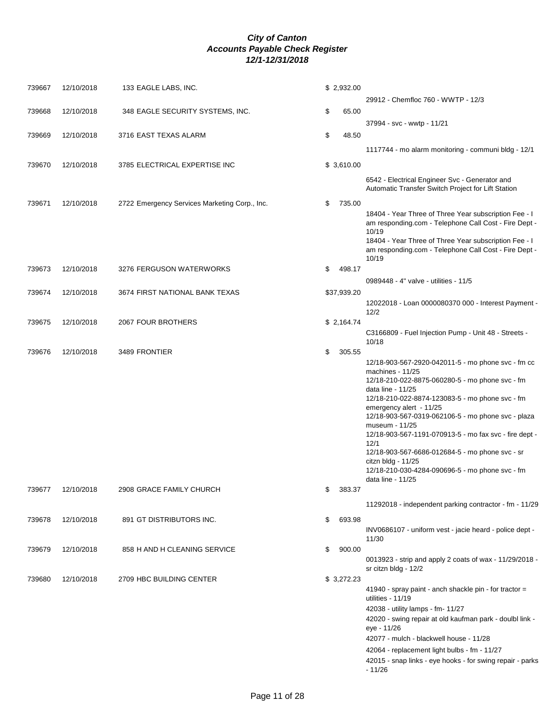| 739667 | 12/10/2018 | 133 EAGLE LABS, INC.                          | \$2,932.00   |                                                                                                                |
|--------|------------|-----------------------------------------------|--------------|----------------------------------------------------------------------------------------------------------------|
|        |            |                                               |              | 29912 - Chemfloc 760 - WWTP - 12/3                                                                             |
| 739668 | 12/10/2018 | 348 EAGLE SECURITY SYSTEMS, INC.              | \$<br>65.00  |                                                                                                                |
|        |            |                                               |              | 37994 - svc - wwtp - 11/21                                                                                     |
| 739669 | 12/10/2018 | 3716 EAST TEXAS ALARM                         | \$<br>48.50  |                                                                                                                |
|        |            |                                               |              | 1117744 - mo alarm monitoring - communi bldg - 12/1                                                            |
| 739670 | 12/10/2018 | 3785 ELECTRICAL EXPERTISE INC                 | \$3,610.00   |                                                                                                                |
|        |            |                                               |              |                                                                                                                |
|        |            |                                               |              | 6542 - Electrical Engineer Svc - Generator and<br>Automatic Transfer Switch Project for Lift Station           |
|        |            |                                               |              |                                                                                                                |
| 739671 | 12/10/2018 | 2722 Emergency Services Marketing Corp., Inc. | \$<br>735.00 |                                                                                                                |
|        |            |                                               |              | 18404 - Year Three of Three Year subscription Fee - I<br>am responding.com - Telephone Call Cost - Fire Dept - |
|        |            |                                               |              | 10/19                                                                                                          |
|        |            |                                               |              | 18404 - Year Three of Three Year subscription Fee - I                                                          |
|        |            |                                               |              | am responding.com - Telephone Call Cost - Fire Dept -<br>10/19                                                 |
| 739673 | 12/10/2018 | 3276 FERGUSON WATERWORKS                      | \$<br>498.17 |                                                                                                                |
|        |            |                                               |              | 0989448 - 4" valve - utilities - 11/5                                                                          |
| 739674 | 12/10/2018 | 3674 FIRST NATIONAL BANK TEXAS                | \$37,939.20  |                                                                                                                |
|        |            |                                               |              | 12022018 - Loan 0000080370 000 - Interest Payment -                                                            |
|        |            |                                               |              | 12/2                                                                                                           |
| 739675 | 12/10/2018 | 2067 FOUR BROTHERS                            | \$2,164.74   |                                                                                                                |
|        |            |                                               |              | C3166809 - Fuel Injection Pump - Unit 48 - Streets -                                                           |
|        |            |                                               |              | 10/18                                                                                                          |
| 739676 | 12/10/2018 | 3489 FRONTIER                                 | \$<br>305.55 | 12/18-903-567-2920-042011-5 - mo phone svc - fm cc                                                             |
|        |            |                                               |              | machines - 11/25                                                                                               |
|        |            |                                               |              | 12/18-210-022-8875-060280-5 - mo phone svc - fm                                                                |
|        |            |                                               |              | data line - 11/25                                                                                              |
|        |            |                                               |              | 12/18-210-022-8874-123083-5 - mo phone svc - fm<br>emergency alert - 11/25                                     |
|        |            |                                               |              | 12/18-903-567-0319-062106-5 - mo phone svc - plaza                                                             |
|        |            |                                               |              | museum - 11/25                                                                                                 |
|        |            |                                               |              | 12/18-903-567-1191-070913-5 - mo fax svc - fire dept -<br>12/1                                                 |
|        |            |                                               |              | 12/18-903-567-6686-012684-5 - mo phone svc - sr                                                                |
|        |            |                                               |              | citzn bldg - 11/25                                                                                             |
|        |            |                                               |              | 12/18-210-030-4284-090696-5 - mo phone svc - fm<br>data line - 11/25                                           |
| 739677 | 12/10/2018 | 2908 GRACE FAMILY CHURCH                      | \$<br>383.37 |                                                                                                                |
|        |            |                                               |              |                                                                                                                |
|        |            |                                               |              | 11292018 - independent parking contractor - fm - 11/29                                                         |
| 739678 | 12/10/2018 | 891 GT DISTRIBUTORS INC.                      | \$<br>693.98 |                                                                                                                |
|        |            |                                               |              | INV0686107 - uniform vest - jacie heard - police dept -                                                        |
| 739679 | 12/10/2018 | 858 H AND H CLEANING SERVICE                  | \$<br>900.00 | 11/30                                                                                                          |
|        |            |                                               |              | 0013923 - strip and apply 2 coats of wax - 11/29/2018 -                                                        |
|        |            |                                               |              | sr citzn bldg - 12/2                                                                                           |
| 739680 | 12/10/2018 | 2709 HBC BUILDING CENTER                      | \$3,272.23   |                                                                                                                |
|        |            |                                               |              | 41940 - spray paint - anch shackle pin - for tractor =                                                         |
|        |            |                                               |              | utilities - 11/19                                                                                              |
|        |            |                                               |              | 42038 - utility lamps - fm- 11/27<br>42020 - swing repair at old kaufman park - doulbl link -                  |
|        |            |                                               |              | eye - 11/26                                                                                                    |
|        |            |                                               |              | 42077 - mulch - blackwell house - 11/28                                                                        |
|        |            |                                               |              | 42064 - replacement light bulbs - fm - 11/27                                                                   |
|        |            |                                               |              | 42015 - snap links - eye hooks - for swing repair - parks                                                      |
|        |            |                                               |              | $-11/26$                                                                                                       |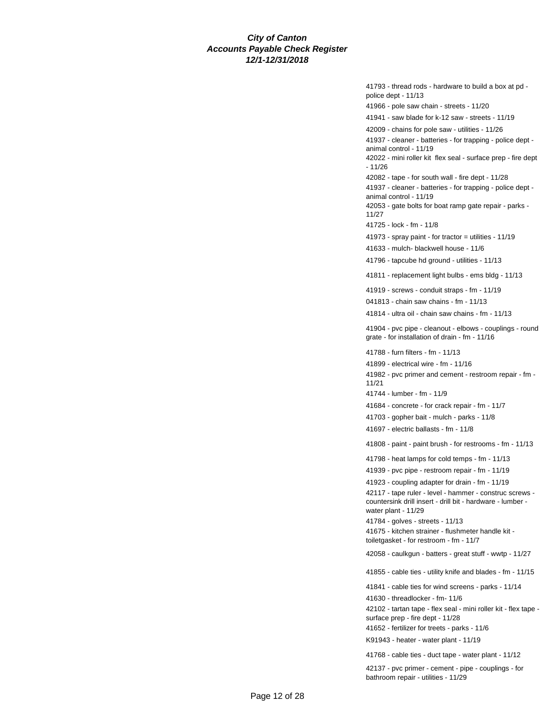41793 - thread rods - hardware to build a box at pd police dept - 11/13 41966 - pole saw chain - streets - 11/20 41941 - saw blade for k-12 saw - streets - 11/19 42009 - chains for pole saw - utilities - 11/26 41937 - cleaner - batteries - for trapping - police dept animal control - 11/19 42022 - mini roller kit flex seal - surface prep - fire dept - 11/26 42082 - tape - for south wall - fire dept - 11/28 41937 - cleaner - batteries - for trapping - police dept animal control - 11/19 42053 - gate bolts for boat ramp gate repair - parks - 11/27 41725 - lock - fm - 11/8 41973 - spray paint - for tractor = utilities - 11/19 41633 - mulch- blackwell house - 11/6 41796 - tapcube hd ground - utilities - 11/13 41811 - replacement light bulbs - ems bldg - 11/13 41919 - screws - conduit straps - fm - 11/19 041813 - chain saw chains - fm - 11/13 41814 - ultra oil - chain saw chains - fm - 11/13 41904 - pvc pipe - cleanout - elbows - couplings - round grate - for installation of drain - fm - 11/16 41788 - furn filters - fm - 11/13 41899 - electrical wire - fm - 11/16 41982 - pvc primer and cement - restroom repair - fm - 11/21 41744 - lumber - fm - 11/9 41684 - concrete - for crack repair - fm - 11/7 41703 - gopher bait - mulch - parks - 11/8 41697 - electric ballasts - fm - 11/8 41808 - paint - paint brush - for restrooms - fm - 11/13 41798 - heat lamps for cold temps - fm - 11/13 41939 - pvc pipe - restroom repair - fm - 11/19 41923 - coupling adapter for drain - fm - 11/19 42117 - tape ruler - level - hammer - construc screws countersink drill insert - drill bit - hardware - lumber water plant - 11/29 41784 - golves - streets - 11/13 41675 - kitchen strainer - flushmeter handle kit toiletgasket - for restroom - fm - 11/7

42058 - caulkgun - batters - great stuff - wwtp - 11/27

41855 - cable ties - utility knife and blades - fm - 11/15

41841 - cable ties for wind screens - parks - 11/14

41630 - threadlocker - fm- 11/6

42102 - tartan tape - flex seal - mini roller kit - flex tape surface prep - fire dept - 11/28

41652 - fertilizer for treets - parks - 11/6

K91943 - heater - water plant - 11/19

41768 - cable ties - duct tape - water plant - 11/12

42137 - pvc primer - cement - pipe - couplings - for bathroom repair - utilities - 11/29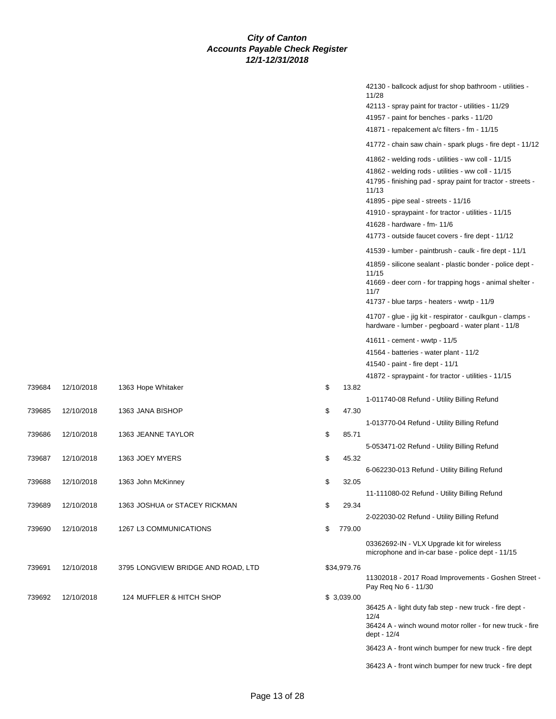|    |             | 42130 - ballcock adjust for shop bathroom - utilities -                                                        |
|----|-------------|----------------------------------------------------------------------------------------------------------------|
|    |             | 11/28<br>42113 - spray paint for tractor - utilities - 11/29                                                   |
|    |             | 41957 - paint for benches - parks - 11/20                                                                      |
|    |             | $41871$ - repalcement a/c filters - fm - 11/15                                                                 |
|    |             | 41772 - chain saw chain - spark plugs - fire dept - 11/12                                                      |
|    |             |                                                                                                                |
|    |             | 41862 - welding rods - utilities - ww coll - 11/15<br>41862 - welding rods - utilities - ww coll - 11/15       |
|    |             | 41795 - finishing pad - spray paint for tractor - streets -<br>11/13                                           |
|    |             | 41895 - pipe seal - streets - 11/16                                                                            |
|    |             | 41910 - spraypaint - for tractor - utilities - 11/15                                                           |
|    |             | 41628 - hardware - fm- 11/6                                                                                    |
|    |             | 41773 - outside faucet covers - fire dept - 11/12                                                              |
|    |             | 41539 - lumber - paintbrush - caulk - fire dept - 11/1                                                         |
|    |             | 41859 - silicone sealant - plastic bonder - police dept -<br>11/15                                             |
|    |             | 41669 - deer corn - for trapping hogs - animal shelter -<br>11/7                                               |
|    |             | 41737 - blue tarps - heaters - wwtp - 11/9                                                                     |
|    |             | 41707 - glue - jig kit - respirator - caulkgun - clamps -<br>hardware - lumber - pegboard - water plant - 11/8 |
|    |             | 41611 - cement - wwtp - 11/5                                                                                   |
|    |             | 41564 - batteries - water plant - 11/2                                                                         |
|    |             | 41540 - paint - fire dept - 11/1                                                                               |
|    |             | 41872 - spraypaint - for tractor - utilities - 11/15                                                           |
| \$ | 13.82       | 1-011740-08 Refund - Utility Billing Refund                                                                    |
| \$ | 47.30       |                                                                                                                |
|    |             | 1-013770-04 Refund - Utility Billing Refund                                                                    |
| \$ | 85.71       |                                                                                                                |
|    |             | 5-053471-02 Refund - Utility Billing Refund                                                                    |
| \$ | 45.32       |                                                                                                                |
| \$ | 32.05       | 6-062230-013 Refund - Utility Billing Refund                                                                   |
|    |             | 11-111080-02 Refund - Utility Billing Refund                                                                   |
| \$ | 29.34       |                                                                                                                |
|    |             | 2-022030-02 Refund - Utility Billing Refund                                                                    |
| \$ | 779.00      |                                                                                                                |
|    |             | 03362692-IN - VLX Upgrade kit for wireless<br>microphone and in-car base - police dept - 11/15                 |
|    | \$34,979.76 |                                                                                                                |
|    |             | 11302018 - 2017 Road Improvements - Goshen Street -<br>Pay Reg No 6 - 11/30                                    |
|    | \$ 3,039.00 | 36425 A - light duty fab step - new truck - fire dept -                                                        |
|    |             | 12/4                                                                                                           |
|    |             | 36424 A - winch wound motor roller - for new truck - fire<br>dept - 12/4                                       |
|    |             | 36423 A - front winch bumper for new truck - fire dept                                                         |
|    |             | 36423 A - front winch bumper for new truck - fire dept                                                         |

739684 12/10/2018 1363 Hope Whitaker

739685 12/10/2018 1363 JANA BISHOP

739687 12/10/2018 1363 JOEY MYERS

739688 12/10/2018 1363 John McKinney

739689 12/10/2018 1363 JOSHUA or STACEY RICKMAN

739691 12/10/2018 3795 LONGVIEW BRIDGE AND ROAD, LTD

739690 12/10/2018 1267 L3 COMMUNICATIONS

739692 12/10/2018 124 MUFFLER & HITCH SHOP

739686 12/10/2018 1363 JEANNE TAYLOR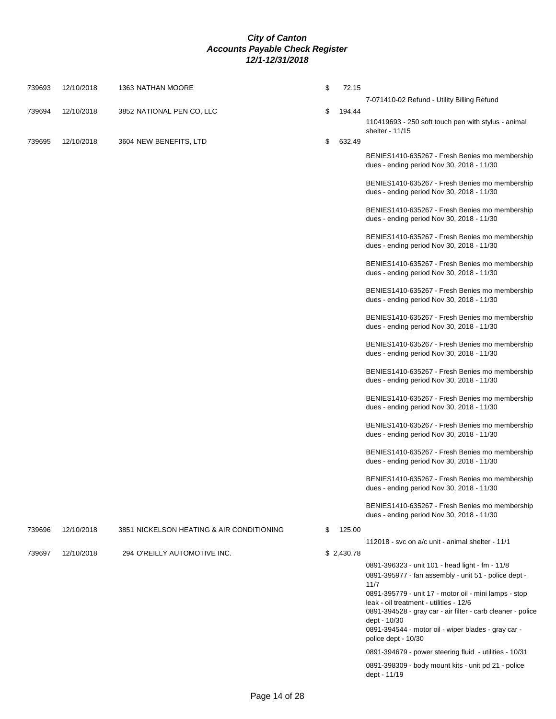| 739693 | 12/10/2018 | 1363 NATHAN MOORE                         | \$<br>72.15  |                                                                                                                        |
|--------|------------|-------------------------------------------|--------------|------------------------------------------------------------------------------------------------------------------------|
| 739694 | 12/10/2018 | 3852 NATIONAL PEN CO, LLC                 | \$<br>194.44 | 7-071410-02 Refund - Utility Billing Refund                                                                            |
|        |            |                                           |              | 110419693 - 250 soft touch pen with stylus - animal<br>shelter - 11/15                                                 |
| 739695 | 12/10/2018 | 3604 NEW BENEFITS, LTD                    | \$<br>632.49 |                                                                                                                        |
|        |            |                                           |              | BENIES1410-635267 - Fresh Benies mo membership<br>dues - ending period Nov 30, 2018 - 11/30                            |
|        |            |                                           |              | BENIES1410-635267 - Fresh Benies mo membership<br>dues - ending period Nov 30, 2018 - 11/30                            |
|        |            |                                           |              | BENIES1410-635267 - Fresh Benies mo membership<br>dues - ending period Nov 30, 2018 - 11/30                            |
|        |            |                                           |              | BENIES1410-635267 - Fresh Benies mo membership<br>dues - ending period Nov 30, 2018 - 11/30                            |
|        |            |                                           |              | BENIES1410-635267 - Fresh Benies mo membership<br>dues - ending period Nov 30, 2018 - 11/30                            |
|        |            |                                           |              | BENIES1410-635267 - Fresh Benies mo membership<br>dues - ending period Nov 30, 2018 - 11/30                            |
|        |            |                                           |              | BENIES1410-635267 - Fresh Benies mo membership<br>dues - ending period Nov 30, 2018 - 11/30                            |
|        |            |                                           |              | BENIES1410-635267 - Fresh Benies mo membership<br>dues - ending period Nov 30, 2018 - 11/30                            |
|        |            |                                           |              | BENIES1410-635267 - Fresh Benies mo membership<br>dues - ending period Nov 30, 2018 - 11/30                            |
|        |            |                                           |              | BENIES1410-635267 - Fresh Benies mo membership<br>dues - ending period Nov 30, 2018 - 11/30                            |
|        |            |                                           |              | BENIES1410-635267 - Fresh Benies mo membership<br>dues - ending period Nov 30, 2018 - 11/30                            |
|        |            |                                           |              | BENIES1410-635267 - Fresh Benies mo membership<br>dues - ending period Nov 30, 2018 - 11/30                            |
|        |            |                                           |              | BENIES1410-635267 - Fresh Benies mo membership<br>dues - ending period Nov 30, 2018 - 11/30                            |
|        |            |                                           |              | BENIES1410-635267 - Fresh Benies mo membership<br>dues - ending period Nov 30, 2018 - 11/30                            |
| 739696 | 12/10/2018 | 3851 NICKELSON HEATING & AIR CONDITIONING | \$<br>125.00 |                                                                                                                        |
| 739697 | 12/10/2018 | 294 O'REILLY AUTOMOTIVE INC.              | \$2,430.78   | 112018 - svc on a/c unit - animal shelter - 11/1                                                                       |
|        |            |                                           |              | 0891-396323 - unit 101 - head light - fm - 11/8                                                                        |
|        |            |                                           |              | 0891-395977 - fan assembly - unit 51 - police dept -                                                                   |
|        |            |                                           |              | 11/7<br>0891-395779 - unit 17 - motor oil - mini lamps - stop                                                          |
|        |            |                                           |              | leak - oil treatment - utilities - 12/6<br>0891-394528 - gray car - air filter - carb cleaner - police<br>dept - 10/30 |
|        |            |                                           |              | 0891-394544 - motor oil - wiper blades - gray car -<br>police dept - 10/30                                             |
|        |            |                                           |              | 0891-394679 - power steering fluid - utilities - 10/31                                                                 |
|        |            |                                           |              | 0891-398309 - body mount kits - unit pd 21 - police<br>dept - 11/19                                                    |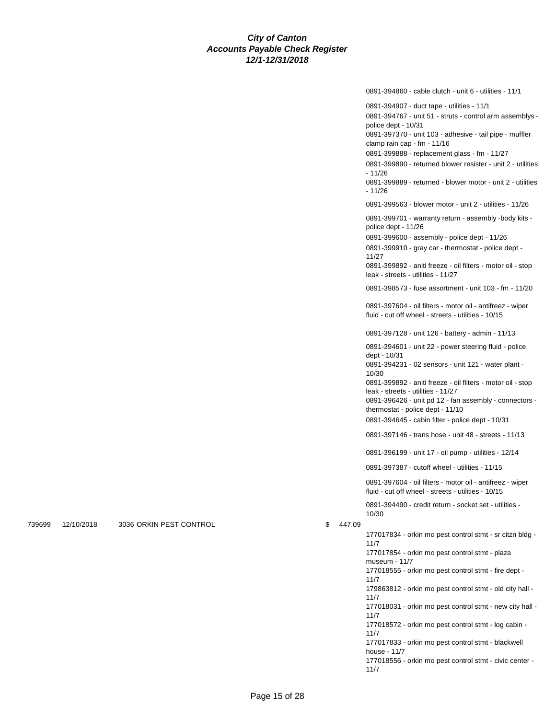0891-394860 - cable clutch - unit 6 - utilities - 11/1

0891-394907 - duct tape - utilities - 11/1

0891-394767 - unit 51 - struts - control arm assemblys police dept - 10/31

0891-397370 - unit 103 - adhesive - tail pipe - muffler clamp rain cap - fm - 11/16

0891-399888 - replacement glass - fm - 11/27

0891-399890 - returned blower resister - unit 2 - utilities - 11/26

0891-399889 - returned - blower motor - unit 2 - utilities - 11/26

0891-399563 - blower motor - unit 2 - utilities - 11/26

0891-399701 - warranty return - assembly -body kits police dept - 11/26

0891-399600 - assembly - police dept - 11/26

0891-399910 - gray car - thermostat - police dept - 11/27

0891-399892 - aniti freeze - oil filters - motor oil - stop leak - streets - utilities - 11/27

0891-398573 - fuse assortment - unit 103 - fm - 11/20

0891-397604 - oil filters - motor oil - antifreez - wiper fluid - cut off wheel - streets - utilities - 10/15

0891-397128 - unit 126 - battery - admin - 11/13

0891-394601 - unit 22 - power steering fluid - police dept - 10/31

0891-394231 - 02 sensors - unit 121 - water plant - 10/30

0891-399892 - aniti freeze - oil filters - motor oil - stop leak - streets - utilities - 11/27

0891-396426 - unit pd 12 - fan assembly - connectors thermostat - police dept - 11/10

0891-394645 - cabin filter - police dept - 10/31

0891-397146 - trans hose - unit 48 - streets - 11/13

0891-396199 - unit 17 - oil pump - utilities - 12/14

0891-397387 - cutoff wheel - utilities - 11/15

0891-397604 - oil filters - motor oil - antifreez - wiper fluid - cut off wheel - streets - utilities - 10/15

0891-394490 - credit return - socket set - utilities - 10/30

739699 12/10/2018 3036 ORKIN PEST CONTROL \$ 447.09

177017834 - orkin mo pest control stmt - sr citzn bldg - 11/7 177017854 - orkin mo pest control stmt - plaza museum - 11/7 177018555 - orkin mo pest control stmt - fire dept - 11/7 179863812 - orkin mo pest control stmt - old city hall - 11/7 177018031 - orkin mo pest control stmt - new city hall - 11/7 177018572 - orkin mo pest control stmt - log cabin - 11/7 177017833 - orkin mo pest control stmt - blackwell house - 11/7 177018556 - orkin mo pest control stmt - civic center - 11/7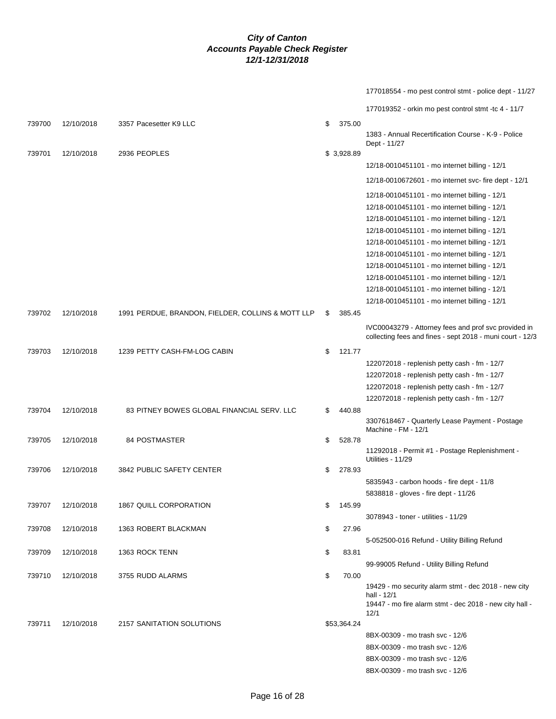177018554 - mo pest control stmt - police dept - 11/27 177019352 - orkin mo pest control stmt -tc 4 - 11/7 739700 12/10/2018 3357 Pacesetter K9 LLC \$ 375.00

|        |            |                                                   |              | 1383 - Annual Recertification Course - K-9 - Police<br>Dept - 11/27 |
|--------|------------|---------------------------------------------------|--------------|---------------------------------------------------------------------|
| 739701 | 12/10/2018 | 2936 PEOPLES                                      | \$3,928.89   |                                                                     |
|        |            |                                                   |              | 12/18-0010451101 - mo internet billing - 12/1                       |
|        |            |                                                   |              | 12/18-0010672601 - mo internet svc- fire dept - 12/1                |
|        |            |                                                   |              | 12/18-0010451101 - mo internet billing - 12/1                       |
|        |            |                                                   |              | 12/18-0010451101 - mo internet billing - 12/1                       |
|        |            |                                                   |              | 12/18-0010451101 - mo internet billing - 12/1                       |
|        |            |                                                   |              | 12/18-0010451101 - mo internet billing - 12/1                       |
|        |            |                                                   |              | 12/18-0010451101 - mo internet billing - 12/1                       |
|        |            |                                                   |              | 12/18-0010451101 - mo internet billing - 12/1                       |
|        |            |                                                   |              | 12/18-0010451101 - mo internet billing - 12/1                       |
|        |            |                                                   |              | 12/18-0010451101 - mo internet billing - 12/1                       |
|        |            |                                                   |              | 12/18-0010451101 - mo internet billing - 12/1                       |
|        |            |                                                   |              | 12/18-0010451101 - mo internet billing - 12/1                       |
| 739702 | 12/10/2018 | 1991 PERDUE, BRANDON, FIELDER, COLLINS & MOTT LLP | \$<br>385.45 |                                                                     |
|        |            |                                                   |              | IVC00043279 - Attorney fees and prof svc provided in                |
|        |            |                                                   |              | collecting fees and fines - sept 2018 - muni court - 12/3           |
| 739703 | 12/10/2018 | 1239 PETTY CASH-FM-LOG CABIN                      | \$<br>121.77 |                                                                     |
|        |            |                                                   |              | 122072018 - replenish petty cash - fm - 12/7                        |
|        |            |                                                   |              | 122072018 - replenish petty cash - fm - 12/7                        |
|        |            |                                                   |              | 122072018 - replenish petty cash - fm - 12/7                        |
|        |            |                                                   |              | 122072018 - replenish petty cash - fm - 12/7                        |
| 739704 | 12/10/2018 | 83 PITNEY BOWES GLOBAL FINANCIAL SERV. LLC        | \$<br>440.88 | 3307618467 - Quarterly Lease Payment - Postage                      |
|        |            |                                                   |              | Machine - FM - 12/1                                                 |
| 739705 | 12/10/2018 | 84 POSTMASTER                                     | \$<br>528.78 |                                                                     |
|        |            |                                                   |              | 11292018 - Permit #1 - Postage Replenishment -                      |
| 739706 | 12/10/2018 | 3842 PUBLIC SAFETY CENTER                         | \$<br>278.93 | Utilities - 11/29                                                   |
|        |            |                                                   |              | 5835943 - carbon hoods - fire dept - 11/8                           |
|        |            |                                                   |              | 5838818 - gloves - fire dept - 11/26                                |
| 739707 | 12/10/2018 | 1867 QUILL CORPORATION                            | \$<br>145.99 |                                                                     |
|        |            |                                                   |              | 3078943 - toner - utilities - 11/29                                 |
| 739708 | 12/10/2018 | 1363 ROBERT BLACKMAN                              | \$<br>27.96  |                                                                     |
|        |            |                                                   |              | 5-052500-016 Refund - Utility Billing Refund                        |
| 739709 | 12/10/2018 | 1363 ROCK TENN                                    | \$<br>83.81  |                                                                     |
|        |            |                                                   |              | 99-99005 Refund - Utility Billing Refund                            |
| 739710 | 12/10/2018 | 3755 RUDD ALARMS                                  | \$<br>70.00  |                                                                     |
|        |            |                                                   |              | 19429 - mo security alarm stmt - dec 2018 - new city<br>hall - 12/1 |
|        |            |                                                   |              | 19447 - mo fire alarm stmt - dec 2018 - new city hall -             |
|        |            |                                                   |              | 12/1                                                                |
| 739711 | 12/10/2018 | 2157 SANITATION SOLUTIONS                         | \$53,364.24  |                                                                     |
|        |            |                                                   |              | 8BX-00309 - mo trash svc - 12/6                                     |
|        |            |                                                   |              | 8BX-00309 - mo trash svc - 12/6                                     |
|        |            |                                                   |              | 8BX-00309 - mo trash svc - 12/6                                     |
|        |            |                                                   |              | 8BX-00309 - mo trash svc - 12/6                                     |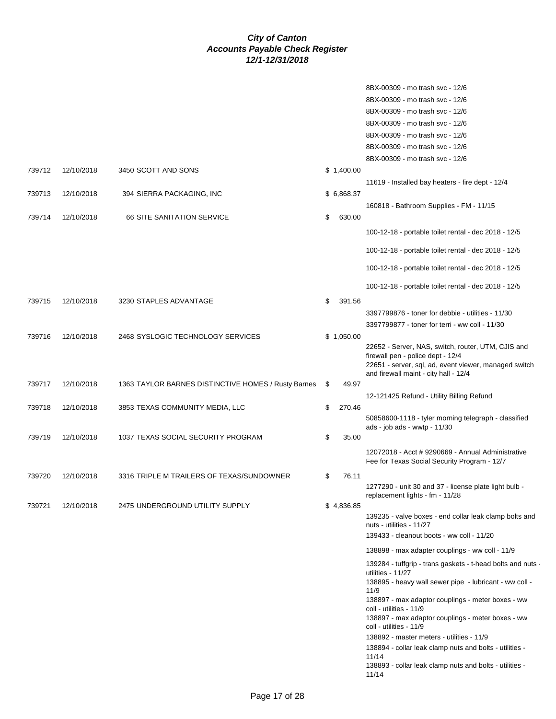|        |            |                                                     |    |            | 8BX-00309 - mo trash svc - 12/6                                                                                                                                                           |
|--------|------------|-----------------------------------------------------|----|------------|-------------------------------------------------------------------------------------------------------------------------------------------------------------------------------------------|
|        |            |                                                     |    |            | 8BX-00309 - mo trash svc - 12/6                                                                                                                                                           |
|        |            |                                                     |    |            | 8BX-00309 - mo trash svc - 12/6                                                                                                                                                           |
|        |            |                                                     |    |            | 8BX-00309 - mo trash svc - 12/6                                                                                                                                                           |
|        |            |                                                     |    |            | 8BX-00309 - mo trash svc - 12/6                                                                                                                                                           |
|        |            |                                                     |    |            | 8BX-00309 - mo trash svc - 12/6                                                                                                                                                           |
|        |            |                                                     |    |            |                                                                                                                                                                                           |
|        |            |                                                     |    |            | 8BX-00309 - mo trash svc - 12/6                                                                                                                                                           |
| 739712 | 12/10/2018 | 3450 SCOTT AND SONS                                 |    | \$1,400.00 |                                                                                                                                                                                           |
|        |            |                                                     |    |            | 11619 - Installed bay heaters - fire dept - 12/4                                                                                                                                          |
| 739713 | 12/10/2018 | 394 SIERRA PACKAGING, INC                           |    | \$6,868.37 |                                                                                                                                                                                           |
|        |            |                                                     |    |            | 160818 - Bathroom Supplies - FM - 11/15                                                                                                                                                   |
| 739714 | 12/10/2018 | <b>66 SITE SANITATION SERVICE</b>                   | S  | 630.00     |                                                                                                                                                                                           |
|        |            |                                                     |    |            | 100-12-18 - portable toilet rental - dec 2018 - 12/5                                                                                                                                      |
|        |            |                                                     |    |            | 100-12-18 - portable toilet rental - dec 2018 - 12/5                                                                                                                                      |
|        |            |                                                     |    |            | 100-12-18 - portable toilet rental - dec 2018 - 12/5                                                                                                                                      |
|        |            |                                                     |    |            | 100-12-18 - portable toilet rental - dec 2018 - 12/5                                                                                                                                      |
| 739715 | 12/10/2018 | 3230 STAPLES ADVANTAGE                              | \$ | 391.56     |                                                                                                                                                                                           |
|        |            |                                                     |    |            | 3397799876 - toner for debbie - utilities - 11/30                                                                                                                                         |
|        |            |                                                     |    |            | 3397799877 - toner for terri - ww coll - 11/30                                                                                                                                            |
| 739716 | 12/10/2018 | 2468 SYSLOGIC TECHNOLOGY SERVICES                   |    | \$1,050.00 |                                                                                                                                                                                           |
|        |            |                                                     |    |            | 22652 - Server, NAS, switch, router, UTM, CJIS and<br>firewall pen - police dept - 12/4<br>22651 - server, sql, ad, event viewer, managed switch<br>and firewall maint - city hall - 12/4 |
| 739717 | 12/10/2018 | 1363 TAYLOR BARNES DISTINCTIVE HOMES / Rusty Barnes | \$ | 49.97      |                                                                                                                                                                                           |
|        |            |                                                     |    |            | 12-121425 Refund - Utility Billing Refund                                                                                                                                                 |
| 739718 | 12/10/2018 | 3853 TEXAS COMMUNITY MEDIA, LLC                     | \$ | 270.46     |                                                                                                                                                                                           |
|        |            |                                                     |    |            | 50858600-1118 - tyler morning telegraph - classified                                                                                                                                      |
|        |            |                                                     |    |            | ads - job ads - wwtp - 11/30                                                                                                                                                              |
| 739719 | 12/10/2018 | 1037 TEXAS SOCIAL SECURITY PROGRAM                  | \$ | 35.00      |                                                                                                                                                                                           |
|        |            |                                                     |    |            | 12072018 - Acct # 9290669 - Annual Administrative<br>Fee for Texas Social Security Program - 12/7                                                                                         |
| 739720 | 12/10/2018 | 3316 TRIPLE M TRAILERS OF TEXAS/SUNDOWNER           | \$ | 76.11      |                                                                                                                                                                                           |
|        |            |                                                     |    |            | 1277290 - unit 30 and 37 - license plate light bulb -<br>replacement lights - fm - 11/28                                                                                                  |
| 739721 | 12/10/2018 | 2475 UNDERGROUND UTILITY SUPPLY                     |    | \$4,836.85 |                                                                                                                                                                                           |
|        |            |                                                     |    |            | 139235 - valve boxes - end collar leak clamp bolts and<br>nuts - utilities - 11/27                                                                                                        |
|        |            |                                                     |    |            | 139433 - cleanout boots - ww coll - 11/20                                                                                                                                                 |
|        |            |                                                     |    |            | 138898 - max adapter couplings - ww coll - 11/9                                                                                                                                           |
|        |            |                                                     |    |            | 139284 - tuffgrip - trans gaskets - t-head bolts and nuts -<br>utilities - 11/27                                                                                                          |
|        |            |                                                     |    |            | 138895 - heavy wall sewer pipe - lubricant - ww coll -                                                                                                                                    |
|        |            |                                                     |    |            | 11/9<br>138897 - max adaptor couplings - meter boxes - ww                                                                                                                                 |
|        |            |                                                     |    |            | coll - utilities - 11/9<br>138897 - max adaptor couplings - meter boxes - ww<br>coll - utilities - 11/9                                                                                   |
|        |            |                                                     |    |            | 138892 - master meters - utilities - 11/9                                                                                                                                                 |
|        |            |                                                     |    |            | 138894 - collar leak clamp nuts and bolts - utilities -                                                                                                                                   |
|        |            |                                                     |    |            | 11/14                                                                                                                                                                                     |
|        |            |                                                     |    |            | 138893 - collar leak clamp nuts and bolts - utilities -<br>11/14                                                                                                                          |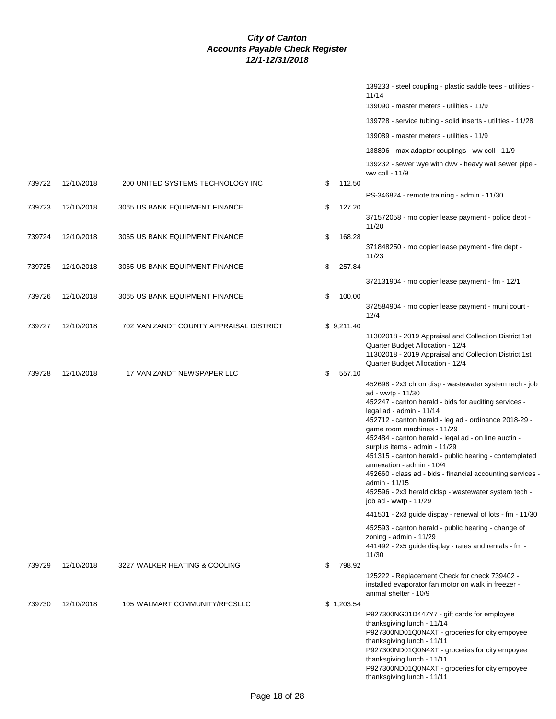|        |            |                                         |              | 139233 - steel coupling - plastic saddle tees - utilities -<br>11/14<br>139090 - master meters - utilities - 11/9                                                                                                                                                                                                                                                                                                                                                                                                                                                                                                                                                                                                                                                                                               |
|--------|------------|-----------------------------------------|--------------|-----------------------------------------------------------------------------------------------------------------------------------------------------------------------------------------------------------------------------------------------------------------------------------------------------------------------------------------------------------------------------------------------------------------------------------------------------------------------------------------------------------------------------------------------------------------------------------------------------------------------------------------------------------------------------------------------------------------------------------------------------------------------------------------------------------------|
|        |            |                                         |              | 139728 - service tubing - solid inserts - utilities - 11/28                                                                                                                                                                                                                                                                                                                                                                                                                                                                                                                                                                                                                                                                                                                                                     |
|        |            |                                         |              | 139089 - master meters - utilities - 11/9                                                                                                                                                                                                                                                                                                                                                                                                                                                                                                                                                                                                                                                                                                                                                                       |
|        |            |                                         |              | 138896 - max adaptor couplings - ww coll - 11/9                                                                                                                                                                                                                                                                                                                                                                                                                                                                                                                                                                                                                                                                                                                                                                 |
|        |            |                                         |              | 139232 - sewer wye with dwv - heavy wall sewer pipe -<br>ww coll - 11/9                                                                                                                                                                                                                                                                                                                                                                                                                                                                                                                                                                                                                                                                                                                                         |
| 739722 | 12/10/2018 | 200 UNITED SYSTEMS TECHNOLOGY INC       | \$<br>112.50 |                                                                                                                                                                                                                                                                                                                                                                                                                                                                                                                                                                                                                                                                                                                                                                                                                 |
| 739723 | 12/10/2018 | 3065 US BANK EQUIPMENT FINANCE          |              | PS-346824 - remote training - admin - 11/30                                                                                                                                                                                                                                                                                                                                                                                                                                                                                                                                                                                                                                                                                                                                                                     |
|        |            |                                         | \$<br>127.20 | 371572058 - mo copier lease payment - police dept -<br>11/20                                                                                                                                                                                                                                                                                                                                                                                                                                                                                                                                                                                                                                                                                                                                                    |
| 739724 | 12/10/2018 | 3065 US BANK EQUIPMENT FINANCE          | \$<br>168.28 | 371848250 - mo copier lease payment - fire dept -<br>11/23                                                                                                                                                                                                                                                                                                                                                                                                                                                                                                                                                                                                                                                                                                                                                      |
| 739725 | 12/10/2018 | 3065 US BANK EQUIPMENT FINANCE          | \$<br>257.84 |                                                                                                                                                                                                                                                                                                                                                                                                                                                                                                                                                                                                                                                                                                                                                                                                                 |
|        |            |                                         |              | 372131904 - mo copier lease payment - fm - 12/1                                                                                                                                                                                                                                                                                                                                                                                                                                                                                                                                                                                                                                                                                                                                                                 |
| 739726 | 12/10/2018 | 3065 US BANK EQUIPMENT FINANCE          | \$<br>100.00 |                                                                                                                                                                                                                                                                                                                                                                                                                                                                                                                                                                                                                                                                                                                                                                                                                 |
|        |            |                                         |              | 372584904 - mo copier lease payment - muni court -<br>12/4                                                                                                                                                                                                                                                                                                                                                                                                                                                                                                                                                                                                                                                                                                                                                      |
| 739727 | 12/10/2018 | 702 VAN ZANDT COUNTY APPRAISAL DISTRICT | \$9,211.40   | 11302018 - 2019 Appraisal and Collection District 1st<br>Quarter Budget Allocation - 12/4<br>11302018 - 2019 Appraisal and Collection District 1st<br>Quarter Budget Allocation - 12/4                                                                                                                                                                                                                                                                                                                                                                                                                                                                                                                                                                                                                          |
| 739728 | 12/10/2018 | 17 VAN ZANDT NEWSPAPER LLC              | \$<br>557.10 | 452698 - 2x3 chron disp - wastewater system tech - job<br>ad - wwtp - 11/30<br>452247 - canton herald - bids for auditing services -<br>legal ad - admin - 11/14<br>452712 - canton herald - leg ad - ordinance 2018-29 -<br>game room machines - 11/29<br>452484 - canton herald - legal ad - on line auctin -<br>surplus items - admin - 11/29<br>451315 - canton herald - public hearing - contemplated<br>annexation - admin - 10/4<br>452660 - class ad - bids - financial accounting services -<br>admin - 11/15<br>452596 - 2x3 herald cldsp - wastewater system tech -<br>job ad - wwtp - 11/29<br>441501 - 2x3 guide dispay - renewal of lots - fm - 11/30<br>452593 - canton herald - public hearing - change of<br>zoning - admin - $11/29$<br>441492 - 2x5 guide display - rates and rentals - fm - |
|        |            |                                         |              | 11/30                                                                                                                                                                                                                                                                                                                                                                                                                                                                                                                                                                                                                                                                                                                                                                                                           |
| 739729 | 12/10/2018 | 3227 WALKER HEATING & COOLING           | \$<br>798.92 | 125222 - Replacement Check for check 739402 -<br>installed evaporator fan motor on walk in freezer -<br>animal shelter - 10/9                                                                                                                                                                                                                                                                                                                                                                                                                                                                                                                                                                                                                                                                                   |
| 739730 | 12/10/2018 | 105 WALMART COMMUNITY/RFCSLLC           | \$1,203.54   | P927300NG01D447Y7 - gift cards for employee<br>thanksgiving lunch - 11/14<br>P927300ND01Q0N4XT - groceries for city empoyee<br>thanksgiving lunch - 11/11<br>P927300ND01Q0N4XT - groceries for city empoyee<br>thanksgiving lunch - 11/11<br>P927300ND01Q0N4XT - groceries for city empoyee<br>thanksgiving lunch - 11/11                                                                                                                                                                                                                                                                                                                                                                                                                                                                                       |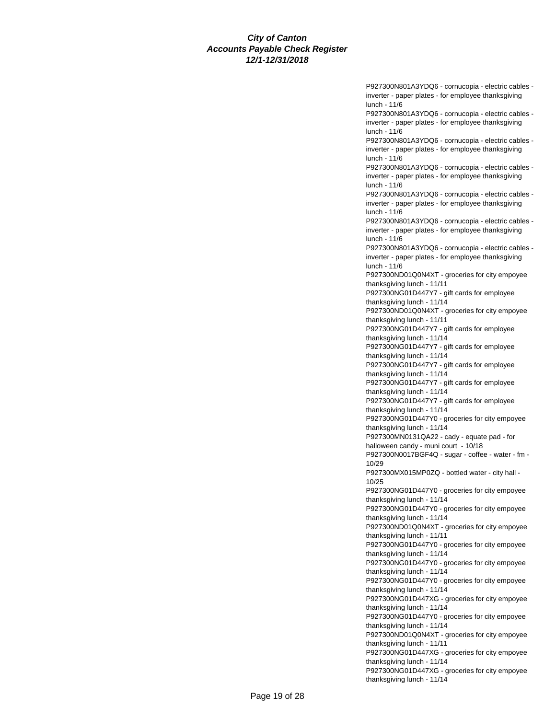P927300N801A3YDQ6 - cornucopia - electric cables inverter - paper plates - for employee thanksgiving lunch - 11/6 P927300N801A3YDQ6 - cornucopia - electric cables inverter - paper plates - for employee thanksgiving lunch - 11/6 P927300N801A3YDQ6 - cornucopia - electric cables inverter - paper plates - for employee thanksgiving lunch - 11/6 P927300N801A3YDQ6 - cornucopia - electric cables inverter - paper plates - for employee thanksgiving lunch - 11/6 P927300N801A3YDQ6 - cornucopia - electric cables inverter - paper plates - for employee thanksgiving lunch - 11/6 P927300N801A3YDQ6 - cornucopia - electric cables inverter - paper plates - for employee thanksgiving lunch - 11/6 P927300N801A3YDQ6 - cornucopia - electric cables inverter - paper plates - for employee thanksgiving lunch - 11/6 P927300ND01Q0N4XT - groceries for city empoyee thanksgiving lunch - 11/11 P927300NG01D447Y7 - gift cards for employee thanksgiving lunch - 11/14 P927300ND01Q0N4XT - groceries for city empoyee thanksgiving lunch - 11/11 P927300NG01D447Y7 - gift cards for employee thanksgiving lunch - 11/14 P927300NG01D447Y7 - gift cards for employee thanksgiving lunch - 11/14 P927300NG01D447Y7 - gift cards for employee thanksgiving lunch - 11/14 P927300NG01D447Y7 - gift cards for employee thanksgiving lunch - 11/14 P927300NG01D447Y7 - gift cards for employee thanksgiving lunch - 11/14 P927300NG01D447Y0 - groceries for city empoyee thanksgiving lunch - 11/14 P927300MN0131QA22 - cady - equate pad - for halloween candy - muni court - 10/18 P927300N0017BGF4Q - sugar - coffee - water - fm - 10/29 P927300MX015MP0ZQ - bottled water - city hall - 10/25 P927300NG01D447Y0 - groceries for city empoyee thanksgiving lunch - 11/14 P927300NG01D447Y0 - groceries for city empoyee thanksgiving lunch - 11/14 P927300ND01Q0N4XT - groceries for city empoyee thanksgiving lunch - 11/11 P927300NG01D447Y0 - groceries for city empoyee thanksgiving lunch - 11/14 P927300NG01D447Y0 - groceries for city empoyee thanksgiving lunch - 11/14 P927300NG01D447Y0 - groceries for city empoyee thanksgiving lunch - 11/14 P927300NG01D447XG - groceries for city empoyee thanksgiving lunch - 11/14 P927300NG01D447Y0 - groceries for city empoyee thanksgiving lunch - 11/14 P927300ND01Q0N4XT - groceries for city empoyee thanksgiving lunch - 11/11 P927300NG01D447XG - groceries for city empoyee thanksgiving lunch - 11/14 P927300NG01D447XG - groceries for city empoyee thanksgiving lunch - 11/14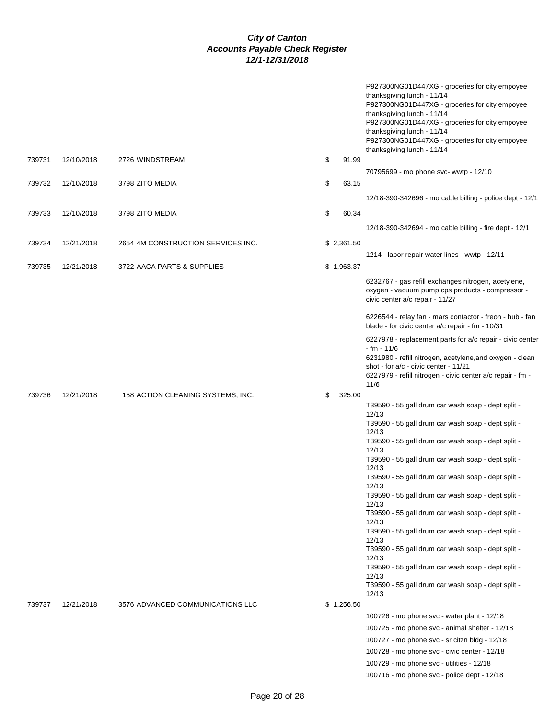|        |            |                                    |              | P927300NG01D447XG - groceries for city empoyee<br>thanksgiving lunch - 11/14<br>P927300NG01D447XG - groceries for city empoyee<br>thanksgiving lunch - 11/14<br>P927300NG01D447XG - groceries for city empoyee<br>thanksgiving lunch - 11/14<br>P927300NG01D447XG - groceries for city empoyee<br>thanksgiving lunch - 11/14 |
|--------|------------|------------------------------------|--------------|------------------------------------------------------------------------------------------------------------------------------------------------------------------------------------------------------------------------------------------------------------------------------------------------------------------------------|
| 739731 | 12/10/2018 | 2726 WINDSTREAM                    | \$<br>91.99  |                                                                                                                                                                                                                                                                                                                              |
|        |            |                                    |              | 70795699 - mo phone svc- wwtp - 12/10                                                                                                                                                                                                                                                                                        |
| 739732 | 12/10/2018 | 3798 ZITO MEDIA                    | \$<br>63.15  |                                                                                                                                                                                                                                                                                                                              |
|        |            |                                    |              | 12/18-390-342696 - mo cable billing - police dept - 12/1                                                                                                                                                                                                                                                                     |
| 739733 | 12/10/2018 | 3798 ZITO MEDIA                    | \$<br>60.34  |                                                                                                                                                                                                                                                                                                                              |
|        |            |                                    |              | 12/18-390-342694 - mo cable billing - fire dept - 12/1                                                                                                                                                                                                                                                                       |
|        |            |                                    |              |                                                                                                                                                                                                                                                                                                                              |
| 739734 | 12/21/2018 | 2654 4M CONSTRUCTION SERVICES INC. | \$2,361.50   |                                                                                                                                                                                                                                                                                                                              |
|        |            |                                    |              | 1214 - labor repair water lines - wwtp - 12/11                                                                                                                                                                                                                                                                               |
| 739735 | 12/21/2018 | 3722 AACA PARTS & SUPPLIES         | \$1,963.37   |                                                                                                                                                                                                                                                                                                                              |
|        |            |                                    |              | 6232767 - gas refill exchanges nitrogen, acetylene,<br>oxygen - vacuum pump cps products - compressor -<br>civic center a/c repair - 11/27                                                                                                                                                                                   |
|        |            |                                    |              | 6226544 - relay fan - mars contactor - freon - hub - fan<br>blade - for civic center a/c repair - fm - 10/31                                                                                                                                                                                                                 |
|        |            |                                    |              | 6227978 - replacement parts for a/c repair - civic center<br>$- fm - 11/6$                                                                                                                                                                                                                                                   |
|        |            |                                    |              | 6231980 - refill nitrogen, acetylene, and oxygen - clean<br>shot - for a/c - civic center - 11/21<br>6227979 - refill nitrogen - civic center a/c repair - fm -                                                                                                                                                              |
|        |            |                                    |              | 11/6                                                                                                                                                                                                                                                                                                                         |
| 739736 | 12/21/2018 | 158 ACTION CLEANING SYSTEMS, INC.  | \$<br>325.00 |                                                                                                                                                                                                                                                                                                                              |
|        |            |                                    |              | T39590 - 55 gall drum car wash soap - dept split -<br>12/13                                                                                                                                                                                                                                                                  |
|        |            |                                    |              | T39590 - 55 gall drum car wash soap - dept split -                                                                                                                                                                                                                                                                           |
|        |            |                                    |              | 12/13<br>T39590 - 55 gall drum car wash soap - dept split -                                                                                                                                                                                                                                                                  |
|        |            |                                    |              | 12/13                                                                                                                                                                                                                                                                                                                        |
|        |            |                                    |              | T39590 - 55 gall drum car wash soap - dept split -<br>12/13                                                                                                                                                                                                                                                                  |
|        |            |                                    |              | T39590 - 55 gall drum car wash soap - dept split -                                                                                                                                                                                                                                                                           |
|        |            |                                    |              | 12/13<br>T39590 - 55 gall drum car wash soap - dept split -                                                                                                                                                                                                                                                                  |
|        |            |                                    |              | 12/13<br>T39590 - 55 gall drum car wash soap - dept split -                                                                                                                                                                                                                                                                  |
|        |            |                                    |              | 12/13                                                                                                                                                                                                                                                                                                                        |
|        |            |                                    |              | T39590 - 55 gall drum car wash soap - dept split -<br>12/13                                                                                                                                                                                                                                                                  |
|        |            |                                    |              | T39590 - 55 gall drum car wash soap - dept split -                                                                                                                                                                                                                                                                           |
|        |            |                                    |              | 12/13<br>T39590 - 55 gall drum car wash soap - dept split -                                                                                                                                                                                                                                                                  |
|        |            |                                    |              | 12/13<br>T39590 - 55 gall drum car wash soap - dept split -                                                                                                                                                                                                                                                                  |
| 739737 | 12/21/2018 | 3576 ADVANCED COMMUNICATIONS LLC   | \$1,256.50   | 12/13                                                                                                                                                                                                                                                                                                                        |
|        |            |                                    |              | 100726 - mo phone svc - water plant - 12/18                                                                                                                                                                                                                                                                                  |
|        |            |                                    |              | 100725 - mo phone svc - animal shelter - 12/18                                                                                                                                                                                                                                                                               |
|        |            |                                    |              | 100727 - mo phone svc - sr citzn bldg - 12/18                                                                                                                                                                                                                                                                                |
|        |            |                                    |              | 100728 - mo phone svc - civic center - 12/18                                                                                                                                                                                                                                                                                 |
|        |            |                                    |              | 100729 - mo phone svc - utilities - 12/18                                                                                                                                                                                                                                                                                    |
|        |            |                                    |              | 100716 - mo phone svc - police dept - 12/18                                                                                                                                                                                                                                                                                  |
|        |            |                                    |              |                                                                                                                                                                                                                                                                                                                              |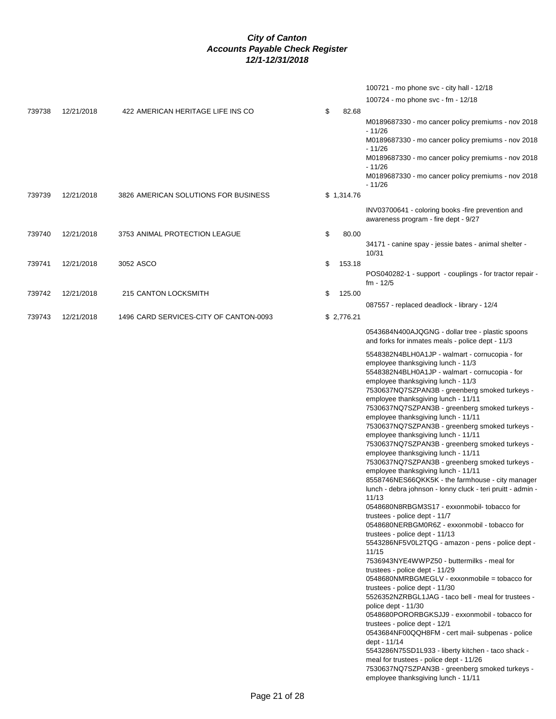|              | 100721 - mo phone svc - city hall - 12/18                                                                       |
|--------------|-----------------------------------------------------------------------------------------------------------------|
|              | 100724 - mo phone svc - fm - 12/18                                                                              |
| \$<br>82.68  |                                                                                                                 |
|              | M0189687330 - mo cancer policy premiums - nov 2018<br>- 11/26                                                   |
|              | M0189687330 - mo cancer policy premiums - nov 2018<br>- 11/26                                                   |
|              | M0189687330 - mo cancer policy premiums - nov 2018<br>- 11/26                                                   |
|              | M0189687330 - mo cancer policy premiums - nov 2018<br>- 11/26                                                   |
| \$1,314.76   |                                                                                                                 |
|              | INV03700641 - coloring books -fire prevention and<br>awareness program - fire dept - 9/27                       |
| \$<br>80.00  |                                                                                                                 |
|              | 34171 - canine spay - jessie bates - animal shelter -<br>10/31                                                  |
| \$<br>153.18 |                                                                                                                 |
|              | POS040282-1 - support - couplings - for tractor repair -<br>$fm - 12/5$                                         |
| \$<br>125.00 | 087557 - replaced deadlock - library - 12/4                                                                     |
| \$2,776.21   |                                                                                                                 |
|              | 0543684N400AJQGNG - dollar tree - plastic spoons<br>and forks for inmates meals - police dept - 11/3            |
|              | 5548382N4BLH0A1JP - walmart - cornucopia - for                                                                  |
|              | employee thanksgiving lunch - 11/3<br>5548382N4BLH0A1JP - walmart - cornucopia - for                            |
|              | employee thanksgiving lunch - 11/3                                                                              |
|              | 7530637NQ7SZPAN3B - greenberg smoked turkeys -<br>employee thanksgiving lunch - 11/11                           |
|              | 7530637NQ7SZPAN3B - greenberg smoked turkeys -                                                                  |
|              | employee thanksgiving lunch - 11/11<br>7530637NQ7SZPAN3B - greenberg smoked turkeys -                           |
|              | employee thanksgiving lunch - 11/11                                                                             |
|              | 7530637NQ7SZPAN3B - greenberg smoked turkeys -                                                                  |
|              | employee thanksgiving lunch - 11/11<br>7530637NQ7SZPAN3B - greenberg smoked turkeys -                           |
|              | employee thanksgiving lunch - 11/11                                                                             |
|              | 8558746NES66QKK5K - the farmhouse - city manager<br>lunch - debra johnson - lonny cluck - teri pruitt - admin - |
|              | 11/13<br>0548680N8RBGM3S17 - exxonmobil- tobacco for                                                            |
|              | trustees - police dept - 11/7                                                                                   |
|              | 0548680NERBGM0R6Z - exxonmobil - tobacco for                                                                    |
|              | trustees - police dept - 11/13<br>5543286NF5V0L2TQG - amazon - pens - police dept -<br>11/15                    |
|              | 7536943NYE4WWPZ50 - buttermilks - meal for                                                                      |
|              | trustees - police dept - 11/29<br>0548680NMRBGMEGLV - exxonmobile = tobacco for                                 |
|              | trustees - police dept - 11/30                                                                                  |
|              | 5526352NZRBGL1JAG - taco bell - meal for trustees -<br>police dept - 11/30                                      |
|              | 0548680PORORBGKSJJ9 - exxonmobil - tobacco for<br>trustees - police dept - 12/1                                 |
|              | 0543684NF00QQH8FM - cert mail- subpenas - police<br>dept - 11/14                                                |
|              | 5543286N75SD1L933 - liberty kitchen - taco shack -<br>meal for trustees - police dept - 11/26                   |
|              | 7530637NQ7SZPAN3B - greenberg smoked turkeys -                                                                  |

employee thanksgiving lunch - 11/11

739739 12/21/2018 3826 AMERICAN SOLUTIONS FOR BUSINESS 739740 12/21/2018 3753 ANIMAL PROTECTION LEAGUE 739741 12/21/2018 3052 ASCO 739742 12/21/2018 215 CANTON LOCKSMITH

739738 12/21/2018 422 AMERICAN HERITAGE LIFE INS CO

739743 12/21/2018 1496 CARD SERVICES-CITY OF CANTON-0093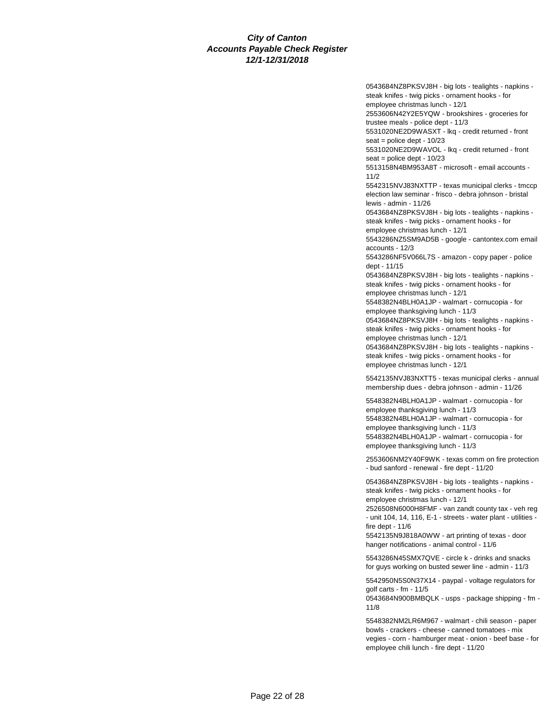0543684NZ8PKSVJ8H - big lots - tealights - napkins steak knifes - twig picks - ornament hooks - for employee christmas lunch - 12/1 2553606N42Y2E5YQW - brookshires - groceries for trustee meals - police dept - 11/3 5531020NE2D9WASXT - lkq - credit returned - front seat = police dept - 10/23 5531020NE2D9WAVOL - lkq - credit returned - front seat = police dept - 10/23 5513158N4BM953A8T - microsoft - email accounts - 11/2 5542315NVJ83NXTTP - texas municipal clerks - tmccp election law seminar - frisco - debra johnson - bristal lewis - admin - 11/26 0543684NZ8PKSVJ8H - big lots - tealights - napkins steak knifes - twig picks - ornament hooks - for employee christmas lunch - 12/1 5543286NZ5SM9AD5B - google - cantontex.com email accounts - 12/3 5543286NF5V066L7S - amazon - copy paper - police dept - 11/15 0543684NZ8PKSVJ8H - big lots - tealights - napkins steak knifes - twig picks - ornament hooks - for employee christmas lunch - 12/1 5548382N4BLH0A1JP - walmart - cornucopia - for employee thanksgiving lunch - 11/3 0543684NZ8PKSVJ8H - big lots - tealights - napkins steak knifes - twig picks - ornament hooks - for employee christmas lunch - 12/1 0543684NZ8PKSVJ8H - big lots - tealights - napkins steak knifes - twig picks - ornament hooks - for employee christmas lunch - 12/1 5542135NVJ83NXTT5 - texas municipal clerks - annual membership dues - debra johnson - admin - 11/26 5548382N4BLH0A1JP - walmart - cornucopia - for employee thanksgiving lunch - 11/3 5548382N4BLH0A1JP - walmart - cornucopia - for employee thanksgiving lunch - 11/3 5548382N4BLH0A1JP - walmart - cornucopia - for employee thanksgiving lunch - 11/3

2553606NM2Y40F9WK - texas comm on fire protection - bud sanford - renewal - fire dept - 11/20

0543684NZ8PKSVJ8H - big lots - tealights - napkins steak knifes - twig picks - ornament hooks - for employee christmas lunch - 12/1

2526508N6000H8FMF - van zandt county tax - veh reg - unit 104, 14, 116, E-1 - streets - water plant - utilities fire dept - 11/6

5542135N9J818A0WW - art printing of texas - door hanger notifications - animal control - 11/6

5543286N45SMX7QVE - circle k - drinks and snacks for guys working on busted sewer line - admin - 11/3

5542950N5S0N37X14 - paypal - voltage regulators for golf carts - fm - 11/5

0543684N900BMBQLK - usps - package shipping - fm - 11/8

5548382NM2LR6M967 - walmart - chili season - paper bowls - crackers - cheese - canned tomatoes - mix vegies - corn - hamburger meat - onion - beef base - for employee chili lunch - fire dept - 11/20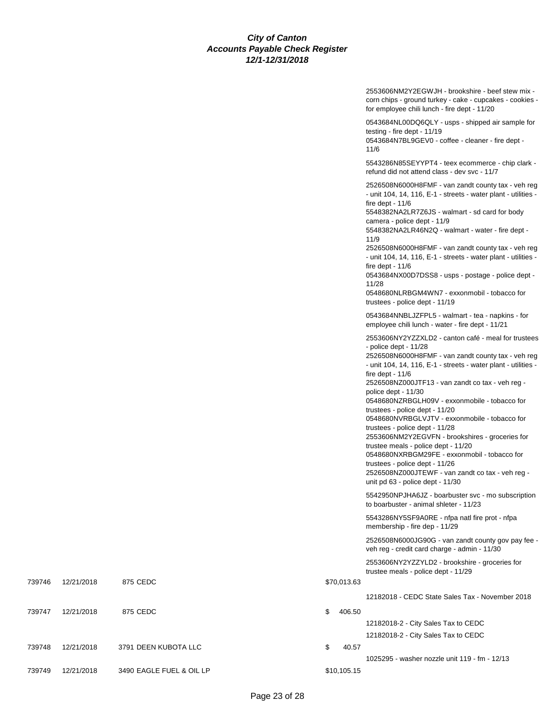|        |            |                          |              | 2553606NM2Y2EGWJH - brookshire - beef stew mix -<br>corn chips - ground turkey - cake - cupcakes - cookies -<br>for employee chili lunch - fire dept - 11/20                                                                                                                                                                                                                                                                                                                                                                                                                                                                                                                                                                                    |
|--------|------------|--------------------------|--------------|-------------------------------------------------------------------------------------------------------------------------------------------------------------------------------------------------------------------------------------------------------------------------------------------------------------------------------------------------------------------------------------------------------------------------------------------------------------------------------------------------------------------------------------------------------------------------------------------------------------------------------------------------------------------------------------------------------------------------------------------------|
|        |            |                          |              | 0543684NL00DQ6QLY - usps - shipped air sample for<br>testing - fire dept - 11/19<br>0543684N7BL9GEV0 - coffee - cleaner - fire dept -<br>11/6                                                                                                                                                                                                                                                                                                                                                                                                                                                                                                                                                                                                   |
|        |            |                          |              | 5543286N85SEYYPT4 - teex ecommerce - chip clark -<br>refund did not attend class - dev svc - 11/7                                                                                                                                                                                                                                                                                                                                                                                                                                                                                                                                                                                                                                               |
|        |            |                          |              | 2526508N6000H8FMF - van zandt county tax - veh reg<br>- unit 104, 14, 116, E-1 - streets - water plant - utilities -<br>fire dept - $11/6$<br>5548382NA2LR7Z6JS - walmart - sd card for body<br>camera - police dept - 11/9<br>5548382NA2LR46N2Q - walmart - water - fire dept -<br>11/9<br>2526508N6000H8FMF - van zandt county tax - veh reg<br>- unit 104, 14, 116, E-1 - streets - water plant - utilities -<br>fire dept - $11/6$<br>0543684NX00D7DSS8 - usps - postage - police dept -<br>11/28<br>0548680NLRBGM4WN7 - exxonmobil - tobacco for<br>trustees - police dept - 11/19                                                                                                                                                         |
|        |            |                          |              | 0543684NNBLJZFPL5 - walmart - tea - napkins - for<br>employee chili lunch - water - fire dept - 11/21                                                                                                                                                                                                                                                                                                                                                                                                                                                                                                                                                                                                                                           |
|        |            |                          |              | 2553606NY2YZZXLD2 - canton café - meal for trustees<br>- police dept - 11/28<br>2526508N6000H8FMF - van zandt county tax - veh reg<br>- unit 104, 14, 116, E-1 - streets - water plant - utilities -<br>fire dept - $11/6$<br>2526508NZ000JTF13 - van zandt co tax - veh reg -<br>police dept - 11/30<br>0548680NZRBGLH09V - exxonmobile - tobacco for<br>trustees - police dept - 11/20<br>0548680NVRBGLVJTV - exxonmobile - tobacco for<br>trustees - police dept - 11/28<br>2553606NM2Y2EGVFN - brookshires - groceries for<br>trustee meals - police dept - 11/20<br>0548680NXRBGM29FE - exxonmobil - tobacco for<br>trustees - police dept - 11/26<br>2526508NZ000JTEWF - van zandt co tax - veh reg -<br>unit pd 63 - police dept - 11/30 |
|        |            |                          |              | 5542950NPJHA6JZ - boarbuster svc - mo subscription<br>to boarbuster - animal shleter - 11/23<br>5543286NY5SF9A0RE - nfpa natl fire prot - nfpa                                                                                                                                                                                                                                                                                                                                                                                                                                                                                                                                                                                                  |
|        |            |                          |              | membership - fire dep - 11/29<br>2526508N6000JG90G - van zandt county gov pay fee -                                                                                                                                                                                                                                                                                                                                                                                                                                                                                                                                                                                                                                                             |
|        |            |                          |              | veh reg - credit card charge - admin - 11/30<br>2553606NY2YZZYLD2 - brookshire - groceries for                                                                                                                                                                                                                                                                                                                                                                                                                                                                                                                                                                                                                                                  |
| 739746 | 12/21/2018 | 875 CEDC                 | \$70,013.63  | trustee meals - police dept - 11/29                                                                                                                                                                                                                                                                                                                                                                                                                                                                                                                                                                                                                                                                                                             |
|        |            |                          |              | 12182018 - CEDC State Sales Tax - November 2018                                                                                                                                                                                                                                                                                                                                                                                                                                                                                                                                                                                                                                                                                                 |
| 739747 | 12/21/2018 | 875 CEDC                 | \$<br>406.50 | 12182018-2 - City Sales Tax to CEDC                                                                                                                                                                                                                                                                                                                                                                                                                                                                                                                                                                                                                                                                                                             |
|        |            |                          |              | 12182018-2 - City Sales Tax to CEDC                                                                                                                                                                                                                                                                                                                                                                                                                                                                                                                                                                                                                                                                                                             |
| 739748 | 12/21/2018 | 3791 DEEN KUBOTA LLC     | \$<br>40.57  | 1025295 - washer nozzle unit 119 - fm - 12/13                                                                                                                                                                                                                                                                                                                                                                                                                                                                                                                                                                                                                                                                                                   |
| 739749 | 12/21/2018 | 3490 EAGLE FUEL & OIL LP | \$10,105.15  |                                                                                                                                                                                                                                                                                                                                                                                                                                                                                                                                                                                                                                                                                                                                                 |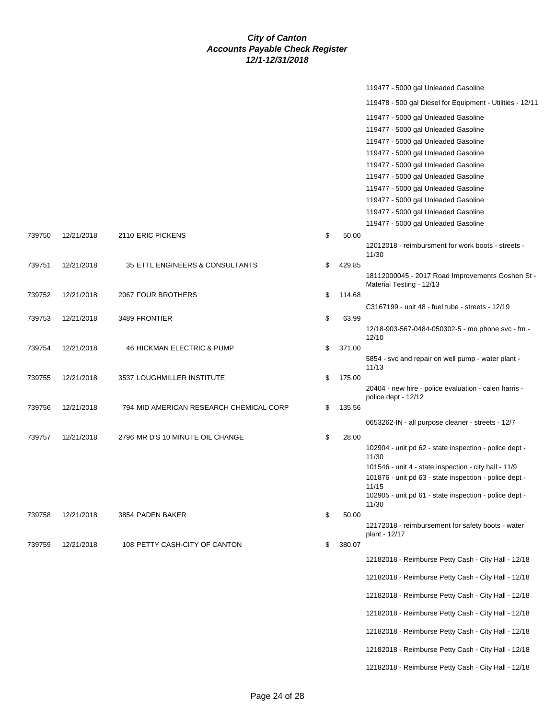|        |            |                                         |              | 119477 - 5000 gal Unleaded Gasoline                                |
|--------|------------|-----------------------------------------|--------------|--------------------------------------------------------------------|
|        |            |                                         |              | 119478 - 500 gal Diesel for Equipment - Utilities - 12/11          |
|        |            |                                         |              | 119477 - 5000 gal Unleaded Gasoline                                |
|        |            |                                         |              | 119477 - 5000 gal Unleaded Gasoline                                |
|        |            |                                         |              | 119477 - 5000 gal Unleaded Gasoline                                |
|        |            |                                         |              | 119477 - 5000 gal Unleaded Gasoline                                |
|        |            |                                         |              | 119477 - 5000 gal Unleaded Gasoline                                |
|        |            |                                         |              | 119477 - 5000 gal Unleaded Gasoline                                |
|        |            |                                         |              | 119477 - 5000 gal Unleaded Gasoline                                |
|        |            |                                         |              | 119477 - 5000 gal Unleaded Gasoline                                |
|        |            |                                         |              | 119477 - 5000 gal Unleaded Gasoline                                |
|        |            |                                         |              | 119477 - 5000 gal Unleaded Gasoline                                |
| 739750 | 12/21/2018 | 2110 ERIC PICKENS                       | \$<br>50.00  |                                                                    |
|        |            |                                         |              | 12012018 - reimbursment for work boots - streets -<br>11/30        |
| 739751 | 12/21/2018 | 35 ETTL ENGINEERS & CONSULTANTS         | \$<br>429.85 |                                                                    |
|        |            |                                         |              | 18112000045 - 2017 Road Improvements Goshen St -                   |
|        |            |                                         |              | Material Testing - 12/13                                           |
| 739752 | 12/21/2018 | 2067 FOUR BROTHERS                      | \$<br>114.68 |                                                                    |
|        |            |                                         |              | C3167199 - unit 48 - fuel tube - streets - 12/19                   |
| 739753 | 12/21/2018 | 3489 FRONTIER                           | \$<br>63.99  | 12/18-903-567-0484-050302-5 - mo phone svc - fm -                  |
|        |            |                                         |              | 12/10                                                              |
| 739754 | 12/21/2018 | <b>46 HICKMAN ELECTRIC &amp; PUMP</b>   | \$<br>371.00 |                                                                    |
|        |            |                                         |              | 5854 - svc and repair on well pump - water plant -<br>11/13        |
| 739755 | 12/21/2018 | 3537 LOUGHMILLER INSTITUTE              | \$<br>175.00 |                                                                    |
|        |            |                                         |              | 20404 - new hire - police evaluation - calen harris -              |
|        |            |                                         |              | police dept - 12/12                                                |
| 739756 | 12/21/2018 | 794 MID AMERICAN RESEARCH CHEMICAL CORP | \$<br>135.56 |                                                                    |
|        |            |                                         |              | 0653262-IN - all purpose cleaner - streets - 12/7                  |
| 739757 | 12/21/2018 | 2796 MR D'S 10 MINUTE OIL CHANGE        | \$<br>28.00  |                                                                    |
|        |            |                                         |              | 102904 - unit pd 62 - state inspection - police dept -<br>11/30    |
|        |            |                                         |              | 101546 - unit 4 - state inspection - city hall - 11/9              |
|        |            |                                         |              | 101876 - unit pd 63 - state inspection - police dept -<br>11/15    |
|        |            |                                         |              | 102905 - unit pd 61 - state inspection - police dept -             |
|        |            |                                         |              | 11/30                                                              |
| 739758 | 12/21/2018 | 3854 PADEN BAKER                        | \$<br>50.00  |                                                                    |
|        |            |                                         |              | 12172018 - reimbursement for safety boots - water<br>plant - 12/17 |
| 739759 | 12/21/2018 | 108 PETTY CASH-CITY OF CANTON           | \$<br>380.07 |                                                                    |
|        |            |                                         |              | 12182018 - Reimburse Petty Cash - City Hall - 12/18                |
|        |            |                                         |              | 12182018 - Reimburse Petty Cash - City Hall - 12/18                |
|        |            |                                         |              | 12182018 - Reimburse Petty Cash - City Hall - 12/18                |
|        |            |                                         |              | 12182018 - Reimburse Petty Cash - City Hall - 12/18                |
|        |            |                                         |              | 12182018 - Reimburse Petty Cash - City Hall - 12/18                |
|        |            |                                         |              | 12182018 - Reimburse Petty Cash - City Hall - 12/18                |
|        |            |                                         |              | 12182018 - Reimburse Petty Cash - City Hall - 12/18                |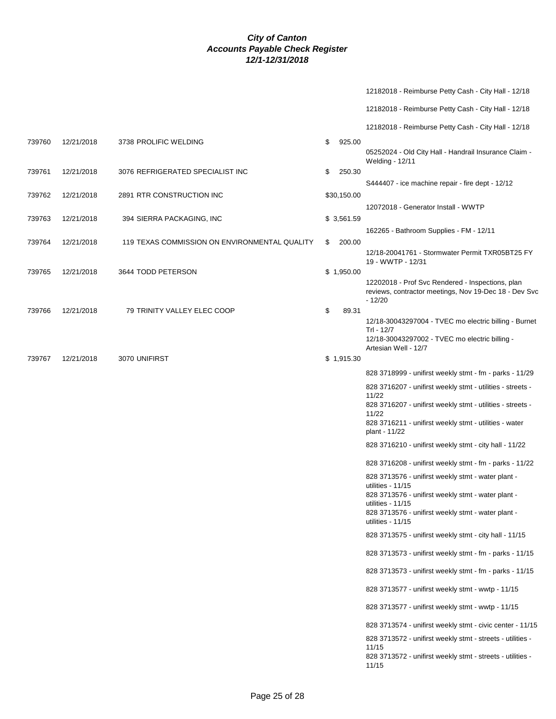|        |            |                                               |              | 12182018 - Reimburse Petty Cash - City Hall - 12/18                                                                                                                                                                               |
|--------|------------|-----------------------------------------------|--------------|-----------------------------------------------------------------------------------------------------------------------------------------------------------------------------------------------------------------------------------|
|        |            |                                               |              | 12182018 - Reimburse Petty Cash - City Hall - 12/18                                                                                                                                                                               |
|        |            |                                               |              | 12182018 - Reimburse Petty Cash - City Hall - 12/18                                                                                                                                                                               |
| 739760 | 12/21/2018 | 3738 PROLIFIC WELDING                         | \$<br>925.00 | 05252024 - Old City Hall - Handrail Insurance Claim -<br>Welding - 12/11                                                                                                                                                          |
| 739761 | 12/21/2018 | 3076 REFRIGERATED SPECIALIST INC              | \$<br>250.30 |                                                                                                                                                                                                                                   |
| 739762 | 12/21/2018 | 2891 RTR CONSTRUCTION INC                     | \$30,150.00  | S444407 - ice machine repair - fire dept - 12/12                                                                                                                                                                                  |
| 739763 | 12/21/2018 | 394 SIERRA PACKAGING, INC                     | \$3,561.59   | 12072018 - Generator Install - WWTP                                                                                                                                                                                               |
| 739764 | 12/21/2018 | 119 TEXAS COMMISSION ON ENVIRONMENTAL QUALITY | \$<br>200.00 | 162265 - Bathroom Supplies - FM - 12/11                                                                                                                                                                                           |
|        |            |                                               |              | 12/18-20041761 - Stormwater Permit TXR05BT25 FY<br>19 - WWTP - 12/31                                                                                                                                                              |
| 739765 | 12/21/2018 | 3644 TODD PETERSON                            | \$1,950.00   | 12202018 - Prof Svc Rendered - Inspections, plan<br>reviews, contractor meetings, Nov 19-Dec 18 - Dev Svc<br>$-12/20$                                                                                                             |
| 739766 | 12/21/2018 | 79 TRINITY VALLEY ELEC COOP                   | \$<br>89.31  | 12/18-30043297004 - TVEC mo electric billing - Burnet<br>Trl - 12/7<br>12/18-30043297002 - TVEC mo electric billing -<br>Artesian Well - 12/7                                                                                     |
| 739767 | 12/21/2018 | 3070 UNIFIRST                                 | \$1,915.30   |                                                                                                                                                                                                                                   |
|        |            |                                               |              | 828 3718999 - unifirst weekly stmt - fm - parks - 11/29                                                                                                                                                                           |
|        |            |                                               |              | 828 3716207 - unifirst weekly stmt - utilities - streets -<br>11/22<br>828 3716207 - unifirst weekly stmt - utilities - streets -<br>11/22<br>828 3716211 - unifirst weekly stmt - utilities - water<br>plant - 11/22             |
|        |            |                                               |              | 828 3716210 - unifirst weekly stmt - city hall - 11/22                                                                                                                                                                            |
|        |            |                                               |              | 828 3716208 - unifirst weekly stmt - fm - parks - 11/22                                                                                                                                                                           |
|        |            |                                               |              | 828 3713576 - unifirst weekly stmt - water plant -<br>utilities - $11/15$<br>828 3713576 - unifirst weekly stmt - water plant -<br>utilities - $11/15$<br>828 3713576 - unifirst weekly stmt - water plant -<br>utilities - 11/15 |
|        |            |                                               |              | 828 3713575 - unifirst weekly stmt - city hall - 11/15                                                                                                                                                                            |
|        |            |                                               |              | 828 3713573 - unifirst weekly stmt - fm - parks - 11/15                                                                                                                                                                           |
|        |            |                                               |              | 828 3713573 - unifirst weekly stmt - fm - parks - 11/15                                                                                                                                                                           |
|        |            |                                               |              | 828 3713577 - unifirst weekly stmt - wwtp - 11/15                                                                                                                                                                                 |
|        |            |                                               |              | 828 3713577 - unifirst weekly stmt - wwtp - 11/15                                                                                                                                                                                 |
|        |            |                                               |              | 828 3713574 - unifirst weekly stmt - civic center - 11/15                                                                                                                                                                         |
|        |            |                                               |              | 828 3713572 - unifirst weekly stmt - streets - utilities -<br>11/15<br>828 3713572 - unifirst weekly stmt - streets - utilities -<br>11/15                                                                                        |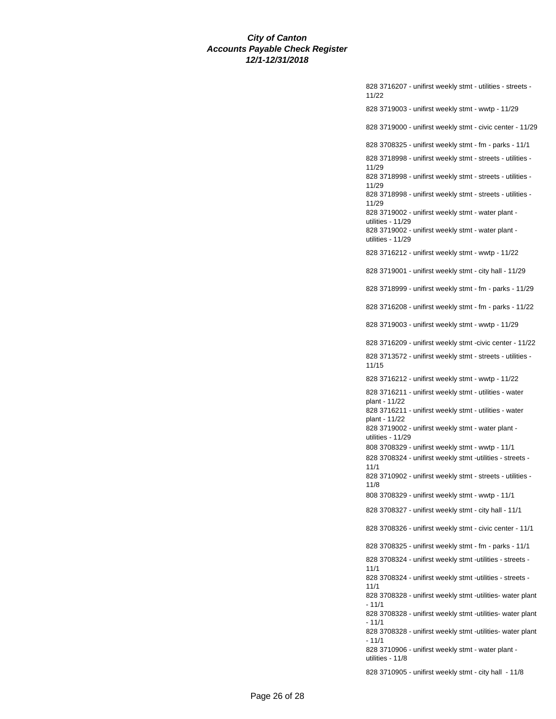828 3716207 - unifirst weekly stmt - utilities - streets - 11/22 828 3719003 - unifirst weekly stmt - wwtp - 11/29 828 3719000 - unifirst weekly stmt - civic center - 11/29 828 3708325 - unifirst weekly stmt - fm - parks - 11/1 828 3718998 - unifirst weekly stmt - streets - utilities - 11/29 828 3718998 - unifirst weekly stmt - streets - utilities - 11/29 828 3718998 - unifirst weekly stmt - streets - utilities - 11/29 828 3719002 - unifirst weekly stmt - water plant utilities - 11/29 828 3719002 - unifirst weekly stmt - water plant utilities - 11/29 828 3716212 - unifirst weekly stmt - wwtp - 11/22 828 3719001 - unifirst weekly stmt - city hall - 11/29 828 3718999 - unifirst weekly stmt - fm - parks - 11/29 828 3716208 - unifirst weekly stmt - fm - parks - 11/22 828 3719003 - unifirst weekly stmt - wwtp - 11/29 828 3716209 - unifirst weekly stmt -civic center - 11/22 828 3713572 - unifirst weekly stmt - streets - utilities - 11/15 828 3716212 - unifirst weekly stmt - wwtp - 11/22 828 3716211 - unifirst weekly stmt - utilities - water plant - 11/22 828 3716211 - unifirst weekly stmt - utilities - water plant - 11/22 828 3719002 - unifirst weekly stmt - water plant utilities - 11/29 808 3708329 - unifirst weekly stmt - wwtp - 11/1 828 3708324 - unifirst weekly stmt -utilities - streets - 11/1 828 3710902 - unifirst weekly stmt - streets - utilities - 11/8 808 3708329 - unifirst weekly stmt - wwtp - 11/1 828 3708327 - unifirst weekly stmt - city hall - 11/1 828 3708326 - unifirst weekly stmt - civic center - 11/1 828 3708325 - unifirst weekly stmt - fm - parks - 11/1 828 3708324 - unifirst weekly stmt -utilities - streets - 11/1 828 3708324 - unifirst weekly stmt -utilities - streets - 11/1 828 3708328 - unifirst weekly stmt -utilities- water plant  $-11/1$ 828 3708328 - unifirst weekly stmt -utilities- water plant - 11/1 828 3708328 - unifirst weekly stmt -utilities- water plant  $-11/1$ 828 3710906 - unifirst weekly stmt - water plant utilities - 11/8 828 3710905 - unifirst weekly stmt - city hall - 11/8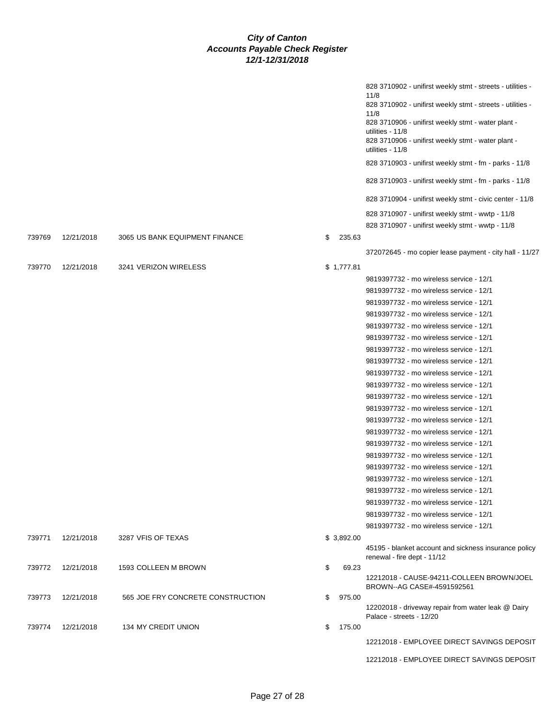|        |            |                                   |              | 828 3710902 - unifirst weekly stmt - streets - utilities -<br>11/8<br>828 3710902 - unifirst weekly stmt - streets - utilities -<br>11/8<br>828 3710906 - unifirst weekly stmt - water plant -<br>utilities - 11/8<br>828 3710906 - unifirst weekly stmt - water plant -<br>utilities - 11/8<br>828 3710903 - unifirst weekly stmt - fm - parks - 11/8<br>828 3710903 - unifirst weekly stmt - fm - parks - 11/8<br>828 3710904 - unifirst weekly stmt - civic center - 11/8<br>828 3710907 - unifirst weekly stmt - wwtp - 11/8<br>828 3710907 - unifirst weekly stmt - wwtp - 11/8                                                                                                                                                                                                                                                                                                                                                                                           |
|--------|------------|-----------------------------------|--------------|--------------------------------------------------------------------------------------------------------------------------------------------------------------------------------------------------------------------------------------------------------------------------------------------------------------------------------------------------------------------------------------------------------------------------------------------------------------------------------------------------------------------------------------------------------------------------------------------------------------------------------------------------------------------------------------------------------------------------------------------------------------------------------------------------------------------------------------------------------------------------------------------------------------------------------------------------------------------------------|
| 739769 | 12/21/2018 | 3065 US BANK EQUIPMENT FINANCE    | \$<br>235.63 | 372072645 - mo copier lease payment - city hall - 11/27                                                                                                                                                                                                                                                                                                                                                                                                                                                                                                                                                                                                                                                                                                                                                                                                                                                                                                                        |
| 739770 | 12/21/2018 | 3241 VERIZON WIRELESS             | \$1,777.81   | 9819397732 - mo wireless service - 12/1<br>9819397732 - mo wireless service - 12/1<br>9819397732 - mo wireless service - 12/1<br>9819397732 - mo wireless service - 12/1<br>9819397732 - mo wireless service - 12/1<br>9819397732 - mo wireless service - 12/1<br>9819397732 - mo wireless service - 12/1<br>9819397732 - mo wireless service - 12/1<br>9819397732 - mo wireless service - 12/1<br>9819397732 - mo wireless service - 12/1<br>9819397732 - mo wireless service - 12/1<br>9819397732 - mo wireless service - 12/1<br>9819397732 - mo wireless service - 12/1<br>9819397732 - mo wireless service - 12/1<br>9819397732 - mo wireless service - 12/1<br>9819397732 - mo wireless service - 12/1<br>9819397732 - mo wireless service - 12/1<br>9819397732 - mo wireless service - 12/1<br>9819397732 - mo wireless service - 12/1<br>9819397732 - mo wireless service - 12/1<br>9819397732 - mo wireless service - 12/1<br>9819397732 - mo wireless service - 12/1 |
| 739771 | 12/21/2018 | 3287 VFIS OF TEXAS                | \$3,892.00   | 45195 - blanket account and sickness insurance policy<br>renewal - fire dept - 11/12                                                                                                                                                                                                                                                                                                                                                                                                                                                                                                                                                                                                                                                                                                                                                                                                                                                                                           |
| 739772 | 12/21/2018 | 1593 COLLEEN M BROWN              | \$<br>69.23  | 12212018 - CAUSE-94211-COLLEEN BROWN/JOEL<br>BROWN--AG CASE#-4591592561                                                                                                                                                                                                                                                                                                                                                                                                                                                                                                                                                                                                                                                                                                                                                                                                                                                                                                        |
| 739773 | 12/21/2018 | 565 JOE FRY CONCRETE CONSTRUCTION | \$<br>975.00 | 12202018 - driveway repair from water leak @ Dairy<br>Palace - streets - 12/20                                                                                                                                                                                                                                                                                                                                                                                                                                                                                                                                                                                                                                                                                                                                                                                                                                                                                                 |
| 739774 | 12/21/2018 | 134 MY CREDIT UNION               | \$<br>175.00 | 12212018 - EMPLOYEE DIRECT SAVINGS DEPOSIT                                                                                                                                                                                                                                                                                                                                                                                                                                                                                                                                                                                                                                                                                                                                                                                                                                                                                                                                     |
|        |            |                                   |              | 12212018 - EMPLOYEE DIRECT SAVINGS DEPOSIT                                                                                                                                                                                                                                                                                                                                                                                                                                                                                                                                                                                                                                                                                                                                                                                                                                                                                                                                     |